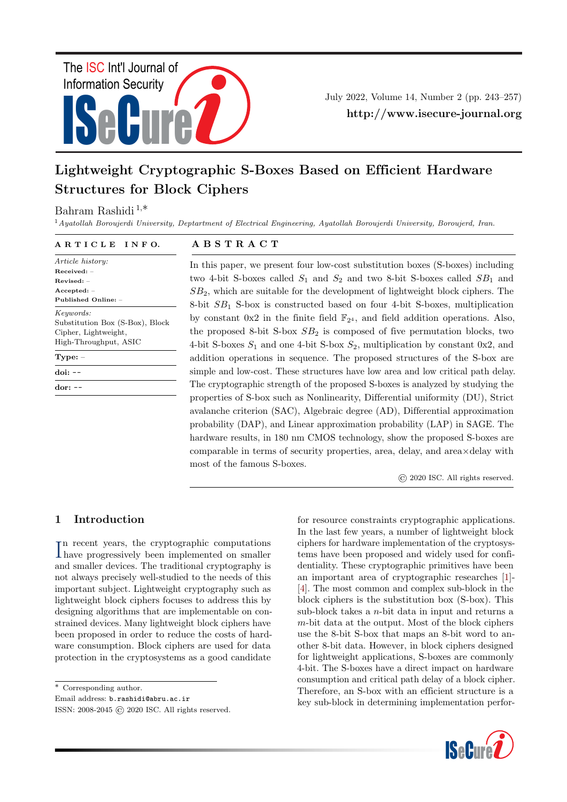

July 2022, Volume 14, Number 2 (pp. 243–257) http://www.isecure-journal.org

# Lightweight Cryptographic S-Boxes Based on Efficient Hardware Structures for Block Ciphers

## Bahram Rashidi <sup>1</sup>,∗

<sup>1</sup> Ayatollah Boroujerdi University, Deptartment of Electrical Engineering, Ayatollah Boroujerdi University, Boroujerd, Iran.

#### A R T I C L E I N F O. A B S T R A C T

Article history: Received: – Revised: – Accepted: – Published Online: – Keywords: Substitution Box (S-Box), Block Cipher, Lightweight, High-Throughput, ASIC Type: – doi: --

In this paper, we present four low-cost substitution boxes (S-boxes) including two 4-bit S-boxes called  $S_1$  and  $S_2$  and two 8-bit S-boxes called  $SB_1$  and  $SB<sub>2</sub>$ , which are suitable for the development of lightweight block ciphers. The 8-bit  $SB<sub>1</sub>$  S-box is constructed based on four 4-bit S-boxes, multiplication by constant  $0x2$  in the finite field  $\mathbb{F}_{2^4}$ , and field addition operations. Also, the proposed 8-bit S-box  $SB<sub>2</sub>$  is composed of five permutation blocks, two 4-bit S-boxes  $S_1$  and one 4-bit S-box  $S_2$ , multiplication by constant 0x2, and addition operations in sequence. The proposed structures of the S-box are simple and low-cost. These structures have low area and low critical path delay. The cryptographic strength of the proposed S-boxes is analyzed by studying the properties of S-box such as Nonlinearity, Differential uniformity (DU), Strict avalanche criterion (SAC), Algebraic degree (AD), Differential approximation probability (DAP), and Linear approximation probability (LAP) in SAGE. The hardware results, in 180 nm CMOS technology, show the proposed S-boxes are comparable in terms of security properties, area, delay, and area×delay with most of the famous S-boxes.

© 2020 ISC. All rights reserved.

## 1 Introduction

dor: --

In recent years, the cryptographic computations<br>have progressively been implemented on smaller n recent years, the cryptographic computations and smaller devices. The traditional cryptography is not always precisely well-studied to the needs of this important subject. Lightweight cryptography such as lightweight block ciphers focuses to address this by designing algorithms that are implementable on constrained devices. Many lightweight block ciphers have been proposed in order to reduce the costs of hardware consumption. Block ciphers are used for data protection in the cryptosystems as a good candidate

∗ Corresponding author.

Email address: b.rashidi@abru.ac.ir

ISSN: 2008-2045 © 2020 ISC. All rights reserved.

for resource constraints cryptographic applications. In the last few years, a number of lightweight block ciphers for hardware implementation of the cryptosystems have been proposed and widely used for confidentiality. These cryptographic primitives have been an important area of cryptographic researches [\[1\]](#page-11-0)- [\[4\]](#page-11-1). The most common and complex sub-block in the block ciphers is the substitution box (S-box). This sub-block takes a  $n$ -bit data in input and returns a  $m$ -bit data at the output. Most of the block ciphers use the 8-bit S-box that maps an 8-bit word to another 8-bit data. However, in block ciphers designed for lightweight applications, S-boxes are commonly 4-bit. The S-boxes have a direct impact on hardware consumption and critical path delay of a block cipher. Therefore, an S-box with an efficient structure is a key sub-block in determining implementation perfor-

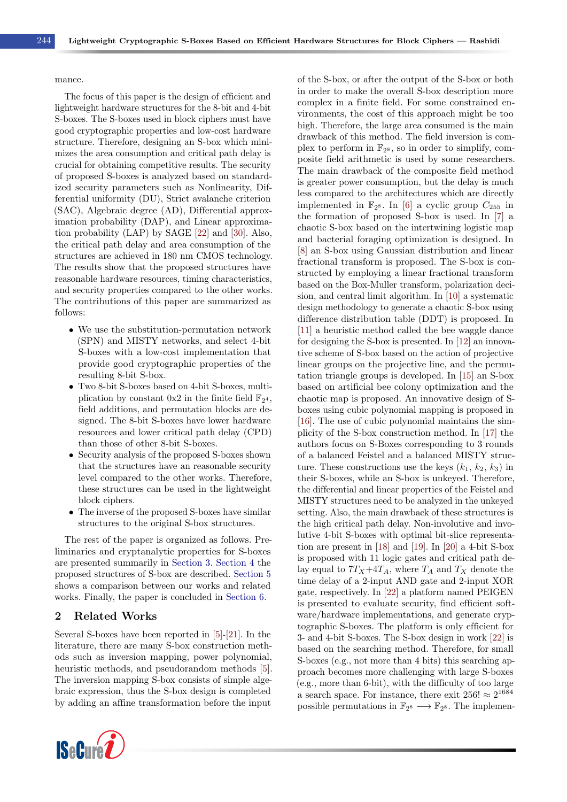#### mance.

The focus of this paper is the design of efficient and lightweight hardware structures for the 8-bit and 4-bit S-boxes. The S-boxes used in block ciphers must have good cryptographic properties and low-cost hardware structure. Therefore, designing an S-box which minimizes the area consumption and critical path delay is crucial for obtaining competitive results. The security of proposed S-boxes is analyzed based on standardized security parameters such as Nonlinearity, Differential uniformity (DU), Strict avalanche criterion (SAC), Algebraic degree (AD), Differential approximation probability (DAP), and Linear approximation probability (LAP) by SAGE [\[22\]](#page-12-0) and [\[30\]](#page-13-0). Also, the critical path delay and area consumption of the structures are achieved in 180 nm CMOS technology. The results show that the proposed structures have reasonable hardware resources, timing characteristics, and security properties compared to the other works. The contributions of this paper are summarized as follows:

- We use the substitution-permutation network (SPN) and MISTY networks, and select 4-bit S-boxes with a low-cost implementation that provide good cryptographic properties of the resulting 8-bit S-box.
- Two 8-bit S-boxes based on 4-bit S-boxes, multiplication by constant  $0x2$  in the finite field  $\mathbb{F}_{2^4}$ , field additions, and permutation blocks are designed. The 8-bit S-boxes have lower hardware resources and lower critical path delay (CPD) than those of other 8-bit S-boxes.
- Security analysis of the proposed S-boxes shown that the structures have an reasonable security level compared to the other works. Therefore, these structures can be used in the lightweight block ciphers.
- The inverse of the proposed S-boxes have similar structures to the original S-box structures.

The rest of the paper is organized as follows. Preliminaries and cryptanalytic properties for S-boxes are presented summarily in [Section 3.](#page-2-0) [Section 4](#page-4-0) the proposed structures of S-box are described. [Section 5](#page-8-0) shows a comparison between our works and related works. Finally, the paper is concluded in [Section 6.](#page-10-0)

### 2 Related Works

Several S-boxes have been reported in [\[5\]](#page-11-2)-[\[21\]](#page-12-1). In the literature, there are many S-box construction methods such as inversion mapping, power polynomial, heuristic methods, and pseudorandom methods [\[5\]](#page-11-2). The inversion mapping S-box consists of simple algebraic expression, thus the S-box design is completed by adding an affine transformation before the input



of the S-box, or after the output of the S-box or both in order to make the overall S-box description more complex in a finite field. For some constrained environments, the cost of this approach might be too high. Therefore, the large area consumed is the main drawback of this method. The field inversion is complex to perform in  $\mathbb{F}_{2^8}$ , so in order to simplify, composite field arithmetic is used by some researchers. The main drawback of the composite field method is greater power consumption, but the delay is much less compared to the architectures which are directly implemented in  $\mathbb{F}_{2^8}$ . In [\[6\]](#page-11-3) a cyclic group  $C_{255}$  in the formation of proposed S-box is used. In [\[7\]](#page-11-4) a chaotic S-box based on the intertwining logistic map and bacterial foraging optimization is designed. In [\[8\]](#page-11-5) an S-box using Gaussian distribution and linear fractional transform is proposed. The S-box is constructed by employing a linear fractional transform based on the Box-Muller transform, polarization decision, and central limit algorithm. In [\[10\]](#page-11-6) a systematic design methodology to generate a chaotic S-box using difference distribution table (DDT) is proposed. In [\[11\]](#page-12-2) a heuristic method called the bee waggle dance for designing the S-box is presented. In [\[12\]](#page-12-3) an innovative scheme of S-box based on the action of projective linear groups on the projective line, and the permutation triangle groups is developed. In [\[15\]](#page-12-4) an S-box based on artificial bee colony optimization and the chaotic map is proposed. An innovative design of Sboxes using cubic polynomial mapping is proposed in [\[16\]](#page-12-5). The use of cubic polynomial maintains the simplicity of the S-box construction method. In [\[17\]](#page-12-6) the authors focus on S-Boxes corresponding to 3 rounds of a balanced Feistel and a balanced MISTY structure. These constructions use the keys  $(k_1, k_2, k_3)$  in their S-boxes, while an S-box is unkeyed. Therefore, the differential and linear properties of the Feistel and MISTY structures need to be analyzed in the unkeyed setting. Also, the main drawback of these structures is the high critical path delay. Non-involutive and involutive 4-bit S-boxes with optimal bit-slice representation are present in [\[18\]](#page-12-7) and [\[19\]](#page-12-8). In [\[20\]](#page-12-9) a 4-bit S-box is proposed with 11 logic gates and critical path delay equal to  $7T_X+4T_A$ , where  $T_A$  and  $T_X$  denote the time delay of a 2-input AND gate and 2-input XOR gate, respectively. In [\[22\]](#page-12-0) a platform named PEIGEN is presented to evaluate security, find efficient software/hardware implementations, and generate cryptographic S-boxes. The platform is only efficient for 3- and 4-bit S-boxes. The S-box design in work [\[22\]](#page-12-0) is based on the searching method. Therefore, for small S-boxes (e.g., not more than 4 bits) this searching approach becomes more challenging with large S-boxes (e.g., more than 6-bit), with the difficulty of too large a search space. For instance, there exit  $256! \approx 2^{1684}$ possible permutations in  $\mathbb{F}_{2^8} \longrightarrow \mathbb{F}_{2^8}$ . The implemen-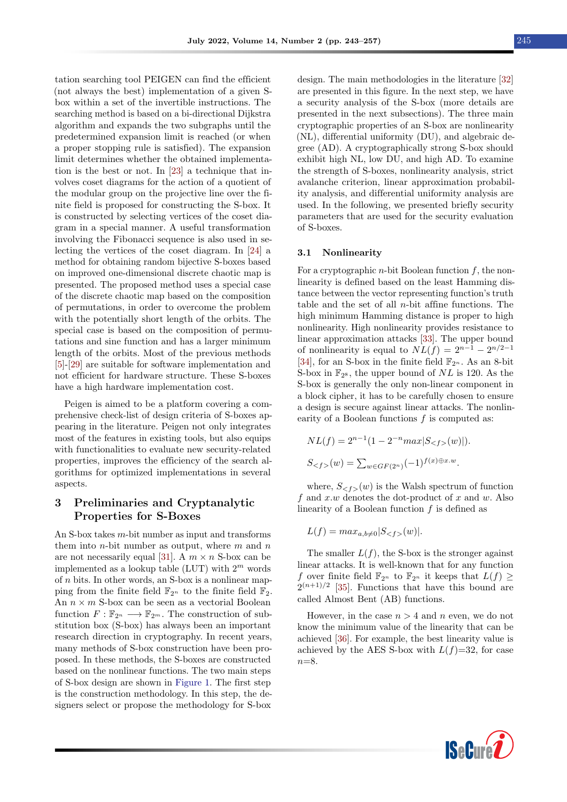tation searching tool PEIGEN can find the efficient (not always the best) implementation of a given Sbox within a set of the invertible instructions. The searching method is based on a bi-directional Dijkstra algorithm and expands the two subgraphs until the predetermined expansion limit is reached (or when a proper stopping rule is satisfied). The expansion limit determines whether the obtained implementation is the best or not. In [\[23\]](#page-12-10) a technique that involves coset diagrams for the action of a quotient of the modular group on the projective line over the finite field is proposed for constructing the S-box. It is constructed by selecting vertices of the coset diagram in a special manner. A useful transformation involving the Fibonacci sequence is also used in selecting the vertices of the coset diagram. In [\[24\]](#page-12-11) a method for obtaining random bijective S-boxes based on improved one-dimensional discrete chaotic map is presented. The proposed method uses a special case of the discrete chaotic map based on the composition of permutations, in order to overcome the problem with the potentially short length of the orbits. The special case is based on the composition of permutations and sine function and has a larger minimum length of the orbits. Most of the previous methods [\[5\]](#page-11-2)-[\[29\]](#page-13-1) are suitable for software implementation and not efficient for hardware structure. These S-boxes have a high hardware implementation cost.

Peigen is aimed to be a platform covering a comprehensive check-list of design criteria of S-boxes appearing in the literature. Peigen not only integrates most of the features in existing tools, but also equips with functionalities to evaluate new security-related properties, improves the efficiency of the search algorithms for optimized implementations in several aspects.

### <span id="page-2-0"></span>3 Preliminaries and Cryptanalytic Properties for S-Boxes

An S-box takes m-bit number as input and transforms them into *n*-bit number as output, where  $m$  and  $n$ are not necessarily equal [\[31\]](#page-13-2). A  $m \times n$  S-box can be implemented as a lookup table (LUT) with  $2^m$  words of  $n$  bits. In other words, an S-box is a nonlinear mapping from the finite field  $\mathbb{F}_{2^n}$  to the finite field  $\mathbb{F}_2$ . An  $n \times m$  S-box can be seen as a vectorial Boolean function  $F : \mathbb{F}_{2^n} \longrightarrow \mathbb{F}_{2^m}$ . The construction of substitution box (S-box) has always been an important research direction in cryptography. In recent years, many methods of S-box construction have been proposed. In these methods, the S-boxes are constructed based on the nonlinear functions. The two main steps of S-box design are shown in [Figure 1.](#page-3-0) The first step is the construction methodology. In this step, the designers select or propose the methodology for S-box

design. The main methodologies in the literature [\[32\]](#page-13-3) are presented in this figure. In the next step, we have a security analysis of the S-box (more details are presented in the next subsections). The three main cryptographic properties of an S-box are nonlinearity (NL), differential uniformity (DU), and algebraic degree (AD). A cryptographically strong S-box should exhibit high NL, low DU, and high AD. To examine the strength of S-boxes, nonlinearity analysis, strict avalanche criterion, linear approximation probability analysis, and differential uniformity analysis are used. In the following, we presented briefly security parameters that are used for the security evaluation of S-boxes.

#### 3.1 Nonlinearity

For a cryptographic *n*-bit Boolean function  $f$ , the nonlinearity is defined based on the least Hamming distance between the vector representing function's truth table and the set of all n-bit affine functions. The high minimum Hamming distance is proper to high nonlinearity. High nonlinearity provides resistance to linear approximation attacks [\[33\]](#page-13-4). The upper bound of nonlinearity is equal to  $NL(f) = 2^{n-1} - 2^{n/2-1}$ [\[34\]](#page-13-5), for an S-box in the finite field  $\mathbb{F}_{2^n}$ . As an 8-bit S-box in  $\mathbb{F}_{2^8}$ , the upper bound of NL is 120. As the S-box is generally the only non-linear component in a block cipher, it has to be carefully chosen to ensure a design is secure against linear attacks. The nonlinearity of a Boolean functions f is computed as:

$$
NL(f) = 2^{n-1}(1 - 2^{-n}max|S_{}(w)|).
$$
  

$$
S_{}(w) = \sum_{w \in GF(2^n)} (-1)^{f(x) \oplus x.w}.
$$

where,  $S_{\leq f}(w)$  is the Walsh spectrum of function f and  $x.w$  denotes the dot-product of  $x$  and  $w$ . Also linearity of a Boolean function  $f$  is defined as

$$
L(f) = \max_{a,b \neq 0} |S_{}(w)|.
$$

The smaller  $L(f)$ , the S-box is the stronger against linear attacks. It is well-known that for any function f over finite field  $\mathbb{F}_{2^n}$  to  $\mathbb{F}_{2^n}$  it keeps that  $L(f) \geq$  $2^{(n+1)/2}$  [\[35\]](#page-13-6). Functions that have this bound are called Almost Bent (AB) functions.

However, in the case  $n > 4$  and n even, we do not know the minimum value of the linearity that can be achieved [\[36\]](#page-13-7). For example, the best linearity value is achieved by the AES S-box with  $L(f)=32$ , for case  $n=8$ .

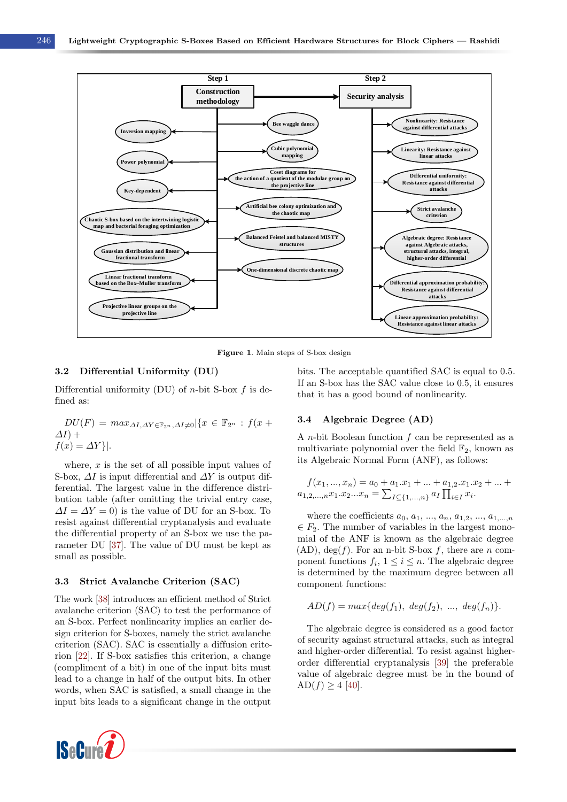<span id="page-3-0"></span>

Figure 1. Main steps of S-box design

#### 3.2 Differential Uniformity (DU)

Differential uniformity (DU) of *n*-bit S-box  $f$  is defined as:

$$
DU(F) = max_{\Delta I, \Delta Y \in \mathbb{F}_{2^n}, \Delta I \neq 0} |\{x \in \mathbb{F}_{2^n} : f(x + \Delta I) + f(x) = \Delta Y\}|.
$$

where,  $x$  is the set of all possible input values of S-box,  $\Delta I$  is input differential and  $\Delta Y$  is output differential. The largest value in the difference distribution table (after omitting the trivial entry case,  $\Delta I = \Delta Y = 0$ ) is the value of DU for an S-box. To resist against differential cryptanalysis and evaluate the differential property of an S-box we use the parameter DU [\[37\]](#page-13-8). The value of DU must be kept as small as possible.

#### 3.3 Strict Avalanche Criterion (SAC)

The work [\[38\]](#page-13-9) introduces an efficient method of Strict avalanche criterion (SAC) to test the performance of an S-box. Perfect nonlinearity implies an earlier design criterion for S-boxes, namely the strict avalanche criterion (SAC). SAC is essentially a diffusion criterion [\[22\]](#page-12-0). If S-box satisfies this criterion, a change (compliment of a bit) in one of the input bits must lead to a change in half of the output bits. In other words, when SAC is satisfied, a small change in the input bits leads to a significant change in the output



bits. The acceptable quantified SAC is equal to 0.5. If an S-box has the SAC value close to 0.5, it ensures that it has a good bound of nonlinearity.

#### 3.4 Algebraic Degree (AD)

A *n*-bit Boolean function  $f$  can be represented as a multivariate polynomial over the field  $\mathbb{F}_2$ , known as its Algebraic Normal Form (ANF), as follows:

$$
f(x_1, ..., x_n) = a_0 + a_1.x_1 + ... + a_{1,2}.x_1.x_2 + ... + a_{1,2,...,n}x_1.x_2...x_n = \sum_{I \subseteq \{1,...,n\}} a_I \prod_{i \in I} x_i.
$$

where the coefficients  $a_0, a_1, ..., a_n, a_{1,2}, ..., a_{1,...,n}$  $\in F_2$ . The number of variables in the largest monomial of the ANF is known as the algebraic degree  $(AD)$ , deg(f). For an n-bit S-box f, there are n component functions  $f_i$ ,  $1 \leq i \leq n$ . The algebraic degree is determined by the maximum degree between all component functions:

$$
AD(f) = max\{deg(f_1), deg(f_2), ..., deg(f_n)\}.
$$

The algebraic degree is considered as a good factor of security against structural attacks, such as integral and higher-order differential. To resist against higherorder differential cryptanalysis [\[39\]](#page-13-10) the preferable value of algebraic degree must be in the bound of  $AD(f) \ge 4$  [\[40\]](#page-13-11).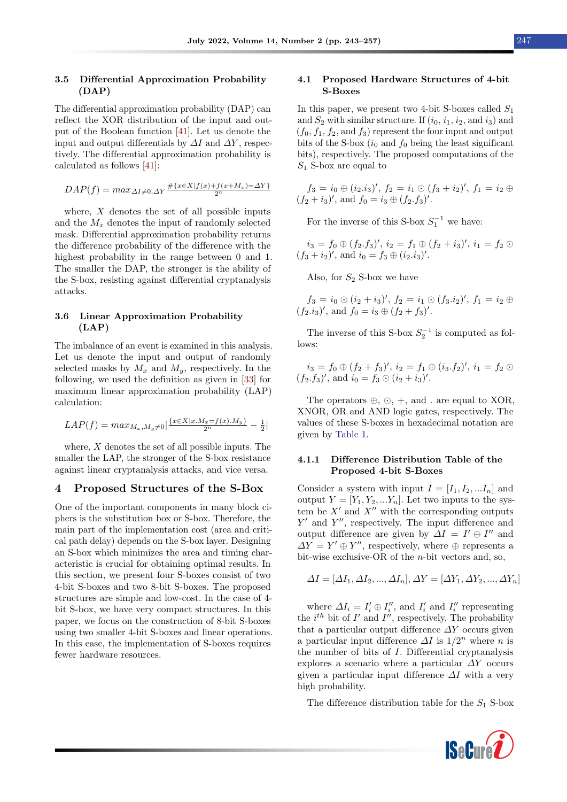#### 3.5 Differential Approximation Probability (DAP)

The differential approximation probability (DAP) can reflect the XOR distribution of the input and output of the Boolean function [\[41\]](#page-13-12). Let us denote the input and output differentials by  $\Delta I$  and  $\Delta Y$ , respectively. The differential approximation probability is calculated as follows [\[41\]](#page-13-12):

$$
DAP(f) = max_{\Delta I \neq 0, \Delta Y} \frac{\#\{x \in X | f(x) + f(x + M_x) = \Delta Y\}}{2^n}
$$

where,  $X$  denotes the set of all possible inputs and the  $M_x$  denotes the input of randomly selected mask. Differential approximation probability returns the difference probability of the difference with the highest probability in the range between 0 and 1. The smaller the DAP, the stronger is the ability of the S-box, resisting against differential cryptanalysis attacks.

#### 3.6 Linear Approximation Probability (LAP)

The imbalance of an event is examined in this analysis. Let us denote the input and output of randomly selected masks by  $M_x$  and  $M_y$ , respectively. In the following, we used the definition as given in [\[33\]](#page-13-4) for maximum linear approximation probability (LAP) calculation:

$$
LAP(f) = max_{M_x, M_y \neq 0} \left| \frac{\{x \in X | x.M_x = f(x).M_y\}}{2^n} - \frac{1}{2} \right|
$$

where,  $X$  denotes the set of all possible inputs. The smaller the LAP, the stronger of the S-box resistance against linear cryptanalysis attacks, and vice versa.

#### <span id="page-4-0"></span>4 Proposed Structures of the S-Box

One of the important components in many block ciphers is the substitution box or S-box. Therefore, the main part of the implementation cost (area and critical path delay) depends on the S-box layer. Designing an S-box which minimizes the area and timing characteristic is crucial for obtaining optimal results. In this section, we present four S-boxes consist of two 4-bit S-boxes and two 8-bit S-boxes. The proposed structures are simple and low-cost. In the case of 4 bit S-box, we have very compact structures. In this paper, we focus on the construction of 8-bit S-boxes using two smaller 4-bit S-boxes and linear operations. In this case, the implementation of S-boxes requires fewer hardware resources.

#### 4.1 Proposed Hardware Structures of 4-bit S-Boxes

In this paper, we present two 4-bit S-boxes called  $S_1$ and  $S_2$  with similar structure. If  $(i_0, i_1, i_2, \text{and } i_3)$  and  $(f_0, f_1, f_2, \text{ and } f_3)$  represent the four input and output bits of the S-box  $(i_0 \text{ and } f_0 \text{ being the least significant})$ bits), respectively. The proposed computations of the  $S_1$  S-box are equal to

$$
f_3 = i_0 \oplus (i_2.i_3)', f_2 = i_1 \odot (f_3 + i_2)', f_1 = i_2 \oplus (f_2 + i_3)',
$$
 and  $f_0 = i_3 \oplus (f_2.f_3)'$ .

For the inverse of this S-box  $S_1^{-1}$  we have:

 $i_3 = f_0 \oplus (f_2.f_3)'$ ,  $i_2 = f_1 \oplus (f_2 + i_3)'$ ,  $i_1 = f_2 \odot$  $(f_3 + i_2)'$ , and  $i_0 = f_3 \oplus (i_2.i_3)'$ .

Also, for  $S_2$  S-box we have

 $f_3 = i_0 \odot (i_2 + i_3)'$ ,  $f_2 = i_1 \odot (f_3 \cdot i_2)'$ ,  $f_1 = i_2 \oplus$  $(f_2.i_3)'$ , and  $f_0 = i_3 \oplus (f_2 + f_3)'$ .

The inverse of this S-box  $S_2^{-1}$  is computed as follows:

$$
i_3 = f_0 \oplus (f_2 + f_3)', i_2 = f_1 \oplus (i_3.f_2)', i_1 = f_2 \odot (f_2.f_3)', \text{ and } i_0 = f_3 \odot (i_2 + i_3)'
$$
.

The operators  $\oplus$ ,  $\odot$ ,  $+$ , and . are equal to XOR, XNOR, OR and AND logic gates, respectively. The values of these S-boxes in hexadecimal notation are given by [Table 1.](#page-5-0)

#### 4.1.1 Difference Distribution Table of the Proposed 4-bit S-Boxes

Consider a system with input  $I = [I_1, I_2, ... I_n]$  and output  $Y = [Y_1, Y_2, ... Y_n]$ . Let two inputs to the system be  $X'$  and  $X''$  with the corresponding outputs  $Y'$  and  $Y''$ , respectively. The input difference and output difference are given by  $\Delta I = I' \oplus I''$  and  $\Delta Y = Y' \oplus Y''$ , respectively, where  $\oplus$  represents a bit-wise exclusive-OR of the n-bit vectors and, so,

$$
\Delta I = [\Delta I_1, \Delta I_2, ..., \Delta I_n], \Delta Y = [\Delta Y_1, \Delta Y_2, ..., \Delta Y_n]
$$

where  $\Delta I_i = I'_i \oplus I''_i$ , and  $I'_i$  and  $I''_i$  representing the  $i^{th}$  bit of  $I'$  and  $I''$ , respectively. The probability that a particular output difference  $\Delta Y$  occurs given a particular input difference  $\Delta I$  is  $1/2^n$  where n is the number of bits of I. Differential cryptanalysis explores a scenario where a particular  $\Delta Y$  occurs given a particular input difference  $\Delta I$  with a very high probability.

The difference distribution table for the  $S_1$  S-box

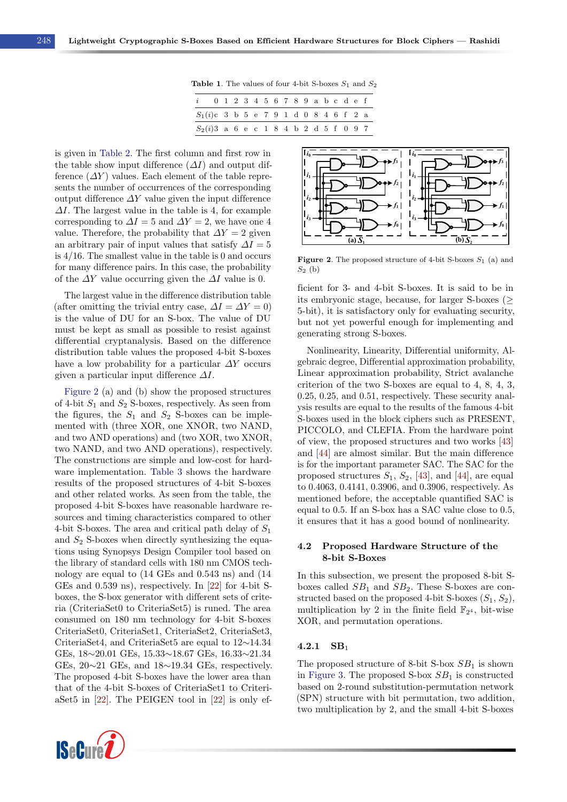Table 1. The values of four 4-bit S-boxes  $S_1$  and  $S_2$ 

| $\ddot{i}$                               | 0 1 2 3 4 5 6 7 8 9 a b c d e f |  |  |  |  |  |  |  |  |
|------------------------------------------|---------------------------------|--|--|--|--|--|--|--|--|
| $S_1(i)$ c 3 b 5 e 7 9 1 d 0 8 4 6 f 2 a |                                 |  |  |  |  |  |  |  |  |
| $S_2(i)3$ a 6 e c 1 8 4 b 2 d 5 f 0 9 7  |                                 |  |  |  |  |  |  |  |  |

<span id="page-5-0"></span>is given in [Table 2.](#page-6-0) The first column and first row in the table show input difference  $(\Delta I)$  and output difference  $(\Delta Y)$  values. Each element of the table represents the number of occurrences of the corresponding output difference  $\Delta Y$  value given the input difference  $\Delta I$ . The largest value in the table is 4, for example corresponding to  $\Delta I = 5$  and  $\Delta Y = 2$ , we have one 4 value. Therefore, the probability that  $\Delta Y = 2$  given an arbitrary pair of input values that satisfy  $\Delta I = 5$ is 4/16. The smallest value in the table is 0 and occurs for many difference pairs. In this case, the probability of the  $\Delta Y$  value occurring given the  $\Delta I$  value is 0.

The largest value in the difference distribution table (after omitting the trivial entry case,  $\Delta I = \Delta Y = 0$ ) is the value of DU for an S-box. The value of DU must be kept as small as possible to resist against differential cryptanalysis. Based on the difference distribution table values the proposed 4-bit S-boxes have a low probability for a particular  $\Delta Y$  occurs given a particular input difference  $\Delta I$ .

[Figure 2](#page-5-1) (a) and (b) show the proposed structures of 4-bit  $S_1$  and  $S_2$  S-boxes, respectively. As seen from the figures, the  $S_1$  and  $S_2$  S-boxes can be implemented with (three XOR, one XNOR, two NAND, and two AND operations) and (two XOR, two XNOR, two NAND, and two AND operations), respectively. The constructions are simple and low-cost for hardware implementation. [Table 3](#page-6-1) shows the hardware results of the proposed structures of 4-bit S-boxes and other related works. As seen from the table, the proposed 4-bit S-boxes have reasonable hardware resources and timing characteristics compared to other 4-bit S-boxes. The area and critical path delay of  $S_1$ and  $S_2$  S-boxes when directly synthesizing the equations using Synopsys Design Compiler tool based on the library of standard cells with 180 nm CMOS technology are equal to (14 GEs and 0.543 ns) and (14 GEs and 0.539 ns), respectively. In [\[22\]](#page-12-0) for 4-bit Sboxes, the S-box generator with different sets of criteria (CriteriaSet0 to CriteriaSet5) is runed. The area consumed on 180 nm technology for 4-bit S-boxes CriteriaSet0, CriteriaSet1, CriteriaSet2, CriteriaSet3, CriteriaSet4, and CriteriaSet5 are equal to 12∼14.34 GEs, 18∼20.01 GEs, 15.33∼18.67 GEs, 16.33∼21.34 GEs,  $20~21$  GEs, and  $18~19.34$  GEs, respectively. The proposed 4-bit S-boxes have the lower area than that of the 4-bit S-boxes of CriteriaSet1 to CriteriaSet5 in [\[22\]](#page-12-0). The PEIGEN tool in [\[22\]](#page-12-0) is only ef-



<span id="page-5-1"></span>

**Figure 2.** The proposed structure of 4-bit S-boxes  $S_1$  (a) and  $S_2$  (b)

ficient for 3- and 4-bit S-boxes. It is said to be in its embryonic stage, because, for larger S-boxes (≥ 5-bit), it is satisfactory only for evaluating security, but not yet powerful enough for implementing and generating strong S-boxes.

Nonlinearity, Linearity, Differential uniformity, Algebraic degree, Differential approximation probability, Linear approximation probability, Strict avalanche criterion of the two S-boxes are equal to 4, 8, 4, 3, 0.25, 0.25, and 0.51, respectively. These security analysis results are equal to the results of the famous 4-bit S-boxes used in the block ciphers such as PRESENT, PICCOLO, and CLEFIA. From the hardware point of view, the proposed structures and two works [\[43\]](#page-13-13) and [\[44\]](#page-13-14) are almost similar. But the main difference is for the important parameter SAC. The SAC for the proposed structures  $S_1$ ,  $S_2$ , [\[43\]](#page-13-13), and [\[44\]](#page-13-14), are equal to 0.4063, 0.4141, 0.3906, and 0.3906, respectively. As mentioned before, the acceptable quantified SAC is equal to 0.5. If an S-box has a SAC value close to 0.5, it ensures that it has a good bound of nonlinearity.

#### 4.2 Proposed Hardware Structure of the 8-bit S-Boxes

In this subsection, we present the proposed 8-bit Sboxes called  $SB_1$  and  $SB_2$ . These S-boxes are constructed based on the proposed 4-bit S-boxes  $(S_1, S_2)$ , multiplication by 2 in the finite field  $\mathbb{F}_{2^4}$ , bit-wise XOR, and permutation operations.

#### $4.2.1$  SB<sub>1</sub>

The proposed structure of 8-bit S-box  $SB<sub>1</sub>$  is shown in [Figure 3.](#page-7-0) The proposed S-box  $SB<sub>1</sub>$  is constructed based on 2-round substitution-permutation network (SPN) structure with bit permutation, two addition, two multiplication by 2, and the small 4-bit S-boxes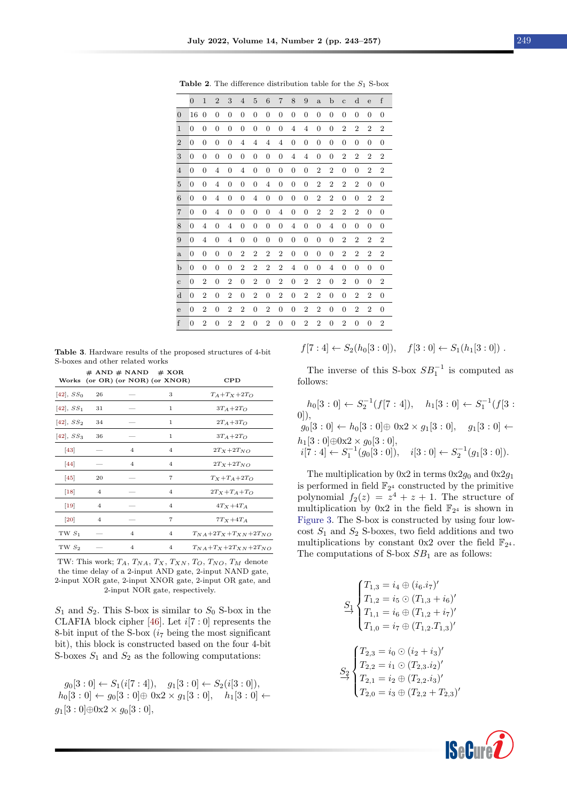|                | $\overline{0}$ | $\mathbf{1}$     | $\overline{2}$   | 3                | $\overline{4}$   | $\overline{5}$   | 6                | $\overline{7}$ | 8                | 9              | $\mathbf{a}$     | b                | $\overline{c}$ | $\mathbf d$      | e                | $\rm f$          |
|----------------|----------------|------------------|------------------|------------------|------------------|------------------|------------------|----------------|------------------|----------------|------------------|------------------|----------------|------------------|------------------|------------------|
| $\overline{0}$ | 16             | $\overline{0}$   | 0                | $\overline{0}$   | 0                | $\boldsymbol{0}$ | 0                | 0              | $\overline{0}$   | 0              | 0                | 0                | 0              | 0                | 0                | $\boldsymbol{0}$ |
| $\mathbf{1}$   | $\overline{0}$ | $\overline{0}$   | 0                | $\overline{0}$   | $\overline{0}$   | $\overline{0}$   | $\overline{0}$   | $\overline{0}$ | $\overline{4}$   | $\overline{4}$ | 0                | 0                | $\overline{2}$ | $\overline{2}$   | $\overline{2}$   | $\boldsymbol{2}$ |
| $\overline{2}$ | 0              | $\overline{0}$   | $\boldsymbol{0}$ | $\overline{0}$   | 4                | $\overline{4}$   | 4                | 4              | $\overline{0}$   | $\overline{0}$ | $\overline{0}$   | $\boldsymbol{0}$ | 0              | $\overline{0}$   | $\overline{0}$   | $\overline{0}$   |
| 3              | 0              | $\overline{0}$   | $\overline{0}$   | $\boldsymbol{0}$ | $\overline{0}$   | $\mathbf{0}$     | $\overline{0}$   | 0              | $\overline{4}$   | 4              | 0                | 0                | $\overline{2}$ | $\overline{2}$   | $\overline{2}$   | $\boldsymbol{2}$ |
| $\overline{4}$ | $\overline{0}$ | $\overline{0}$   | 4                | $\overline{0}$   | 4                | $\overline{0}$   | $\boldsymbol{0}$ | 0              | $\overline{0}$   | $\mathbf{0}$   | $\overline{2}$   | $\overline{2}$   | $\overline{0}$ | $\overline{0}$   | $\overline{2}$   | $\,2$            |
| $\overline{5}$ | $\mathbf{0}$   | $\boldsymbol{0}$ | 4                | $\overline{0}$   | $\boldsymbol{0}$ | $\mathbf{0}$     | $\overline{4}$   | $\overline{0}$ | $\boldsymbol{0}$ | $\overline{0}$ | $\boldsymbol{2}$ | $\overline{2}$   | $\overline{2}$ | $\overline{2}$   | $\overline{0}$   | $\boldsymbol{0}$ |
| $\,6$          | $\overline{0}$ | $\overline{0}$   | 4                | $\overline{0}$   | $\overline{0}$   | $\overline{4}$   | $\mathbf{0}$     | 0              | $\overline{0}$   | $\overline{0}$ | $\boldsymbol{2}$ | $\overline{2}$   | $\overline{0}$ | $\boldsymbol{0}$ | $\overline{2}$   | $\,2$            |
| $\overline{7}$ | 0              | $\overline{0}$   | 4                | $\overline{0}$   | $\overline{0}$   | $\mathbf{0}$     | 0                | 4              | $\overline{0}$   | $\overline{0}$ | $\overline{2}$   | $\,2$            | $\overline{2}$ | $\overline{2}$   | 0                | $\boldsymbol{0}$ |
| 8              | $\overline{0}$ | 4                | $\boldsymbol{0}$ | $\overline{4}$   | $\boldsymbol{0}$ | $\mathbf{0}$     | $\boldsymbol{0}$ | 0              | $\overline{4}$   | $\mathbf{0}$   | $\overline{0}$   | $\overline{4}$   | 0              | $\boldsymbol{0}$ | $\boldsymbol{0}$ | $\boldsymbol{0}$ |
| 9              | $\overline{0}$ | $\overline{4}$   | $\overline{0}$   | $\overline{4}$   | $\overline{0}$   | $\overline{0}$   | $\overline{0}$   | 0              | $\overline{0}$   | $\overline{0}$ | 0                | $\overline{0}$   | $\overline{2}$ | $\overline{2}$   | $\overline{2}$   | $\boldsymbol{2}$ |
| a              | $\overline{0}$ | $\overline{0}$   | $\overline{0}$   | $\overline{0}$   | $\overline{2}$   | $\overline{2}$   | $\overline{2}$   | $\overline{2}$ | $\boldsymbol{0}$ | $\mathbf{0}$   | 0                | $\overline{0}$   | $\overline{2}$ | $\overline{2}$   | $\overline{2}$   | $\boldsymbol{2}$ |
| b              | $\overline{0}$ | $\overline{0}$   | $\overline{0}$   | $\overline{0}$   | $\overline{2}$   | $\overline{2}$   | $\overline{2}$   | $\overline{2}$ | 4                | $\overline{0}$ | $\overline{0}$   | $\overline{4}$   | $\overline{0}$ | $\boldsymbol{0}$ | $\overline{0}$   | $\overline{0}$   |
| $\mathbf c$    | $\mathbf{0}$   | $\overline{2}$   | $\boldsymbol{0}$ | $\overline{2}$   | $\overline{0}$   | $\boldsymbol{2}$ | $\mathbf{0}$     | $\overline{2}$ | $\boldsymbol{0}$ | $\overline{2}$ | $\boldsymbol{2}$ | $\mathbf{0}$     | $\overline{2}$ | $\overline{0}$   | 0                | $\,2$            |
| $\mathbf d$    | 0              | $\overline{2}$   | $\boldsymbol{0}$ | $\overline{2}$   | $\boldsymbol{0}$ | $\boldsymbol{2}$ | $\boldsymbol{0}$ | $\,2$          | $\boldsymbol{0}$ | $\overline{2}$ | $\boldsymbol{2}$ | $\boldsymbol{0}$ | 0              | $\overline{2}$   | $\,2$            | $\boldsymbol{0}$ |
| $\mathbf e$    | 0              | $\overline{2}$   | 0                | $\boldsymbol{2}$ | $\overline{2}$   | $\mathbf{0}$     | $\boldsymbol{2}$ | 0              | $\boldsymbol{0}$ | $\overline{2}$ | $\overline{2}$   | $\boldsymbol{0}$ | 0              | $\overline{2}$   | $\overline{2}$   | 0                |
| f              | $\overline{0}$ | $\overline{2}$   | $\overline{0}$   | $\overline{2}$   | $\overline{2}$   | $\mathbf{0}$     | 2                | $\overline{0}$ | $\overline{0}$   | $\overline{2}$ | $\overline{2}$   | $\overline{0}$   | $\overline{2}$ | $\overline{0}$   | $\overline{0}$   | $\overline{2}$   |

<span id="page-6-0"></span>**Table 2.** The difference distribution table for the  $S_1$  S-box

<span id="page-6-1"></span>Table 3. Hardware results of the proposed structures of 4-bit S-boxes and other related works

|                    |                | $#$ AND $#$ NAND $#$ XOR | Works (or OR) (or NOR) (or XNOR) | CPD                                |
|--------------------|----------------|--------------------------|----------------------------------|------------------------------------|
| $[42], SS_0$       | 26             |                          | 3                                | $T_A+T_X+2T_O$                     |
| $[42], SS_1$       | 31             |                          | 1                                | $3T_A+2T_O$                        |
| $[42], SS_2$       | 34             |                          | 1                                | $2T_A+3T_O$                        |
| $[42], SS_3$       | 36             |                          | $\mathbf{1}$                     | $3T_A+2T_O$                        |
| 43                 |                | 4                        | 4                                | $2T_X+2T_{NO}$                     |
| 44                 |                | 4                        | 4                                | $2T_X+2T_{NO}$                     |
| $[45]$             | 20             |                          | $\overline{7}$                   | $T_X+T_A+2T_O$                     |
| $\vert 18 \vert$   | 4              |                          | 4                                | $2T_X + T_A + T_O$                 |
| $[19]$             | $\overline{4}$ |                          | 4                                | $4T_X+4T_A$                        |
| $\left[ 20\right]$ | $\overline{4}$ |                          | $\overline{7}$                   | $7T_X+4T_A$                        |
| TW $S_1$           |                | 4                        | $\overline{4}$                   | $T_{NA} + 2T_X + T_{XN} + 2T_{NO}$ |
| $TWS_2$            |                | 4                        | 4                                | $T_{NA}+T_{X}+2T_{XN}+2T_{NO}$     |

TW: This work;  $T_A$ ,  $T_{NA}$ ,  $T_X$ ,  $T_{XN}$ ,  $T_O$ ,  $T_{NO}$ ,  $T_M$  denote the time delay of a 2-input AND gate, 2-input NAND gate, 2-input XOR gate, 2-input XNOR gate, 2-input OR gate, and 2-input NOR gate, respectively.

 $S_1$  and  $S_2$ . This S-box is similar to  $S_0$  S-box in the CLAFIA block cipher [\[46\]](#page-13-17). Let  $i[7:0]$  represents the 8-bit input of the S-box  $(i_7 \text{ being the most significant})$ bit), this block is constructed based on the four 4-bit S-boxes  $S_1$  and  $S_2$  as the following computations:

 $g_0[3:0] \leftarrow S_1(i[7:4]), \quad g_1[3:0] \leftarrow S_2(i[3:0]),$  $h_0[3:0] \leftarrow g_0[3:0] \oplus 0 \times 2 \times g_1[3:0], \quad h_1[3:0] \leftarrow$  $g_1[3:0] \oplus 0 \times 2 \times g_0[3:0],$ 

$$
f[7:4] \leftarrow S_2(h_0[3:0]), \quad f[3:0] \leftarrow S_1(h_1[3:0])
$$
.

The inverse of this S-box  $SB_1^{-1}$  is computed as follows:

 $h_0[3:0] \leftarrow S_2^{-1}(f[7:4]), \quad h_1[3:0] \leftarrow S_1^{-1}(f[3:$  $(0)$ ).  $g_0[3:0] \leftarrow h_0[3:0] \oplus 0 \times 2 \times g_1[3:0], \quad g_1[3:0] \leftarrow$  $h_1[3:0] \oplus 0 \times 2 \times g_0[3:0],$  $i[\overline{7} : 4] \leftarrow S_1^{-1}(g_0[3:0]), \quad i[3:0] \leftarrow S_2^{-1}(g_1[3:0]).$ 

The multiplication by  $0x2$  in terms  $0x2g_0$  and  $0x2g_1$ is performed in field  $\mathbb{F}_{2^4}$  constructed by the primitive polynomial  $f_2(z) = z^4 + z + 1$ . The structure of multiplication by  $0x2$  in the field  $\mathbb{F}_{2^4}$  is shown in [Figure 3.](#page-7-0) The S-box is constructed by using four lowcost  $S_1$  and  $S_2$  S-boxes, two field additions and two multiplications by constant  $0x2$  over the field  $\mathbb{F}_{2^4}$ . The computations of S-box  $SB<sub>1</sub>$  are as follows:

$$
\begin{aligned} S_1 & \begin{cases} T_{1,3} = i_4 \oplus (i_6.i_7)' \\ T_{1,2} = i_5 \odot (T_{1,3} + i_6)' \\ T_{1,1} = i_6 \oplus (T_{1,2} + i_7)' \\ T_{1,0} = i_7 \oplus (T_{1,2}.T_{1,3})' \end{cases} \\ S_2 & \begin{cases} T_{2,3} = i_0 \odot (i_2 + i_3)' \\ T_{2,2} = i_1 \odot (T_{2,3}.i_2)' \\ T_{2,1} = i_2 \oplus (T_{2,2}.i_3)' \\ T_{2,0} = i_3 \oplus (T_{2,2} + T_{2,3})' \end{cases} \end{aligned}
$$

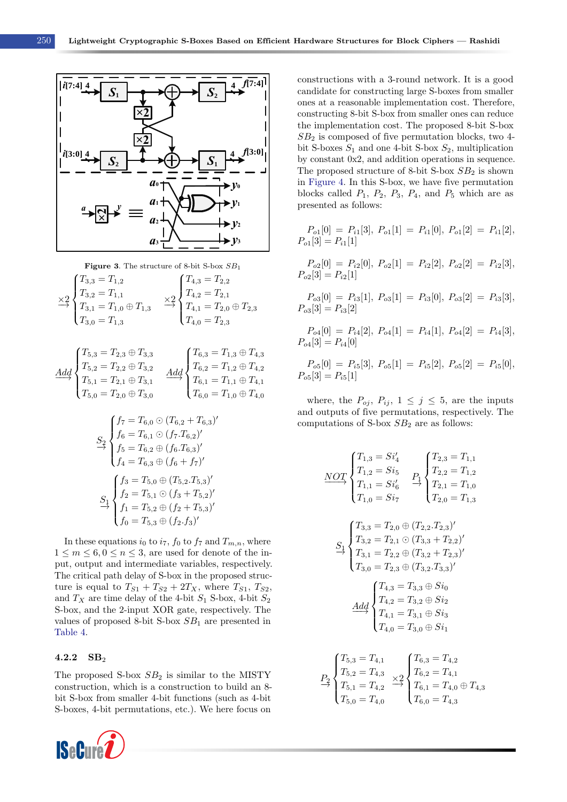<span id="page-7-0"></span>

Figure 3. The structure of 8-bit S-box 
$$
SB_1
$$
  
\n
$$
\times 2\begin{cases}\nT_{3,3} = T_{1,2} \\
T_{3,2} = T_{1,1} \\
T_{3,1} = T_{1,0} \oplus T_{1,3}\n\end{cases}\n\longrightarrow \begin{cases}\nT_{4,3} = T_{2,2} \\
T_{4,2} = T_{2,1} \\
T_{4,1} = T_{2,0} \oplus T_{2,3} \\
T_{4,0} = T_{2,3}\n\end{cases}
$$

$$
\underbrace{Add}_{T_{5,1}} \begin{cases} T_{5,3} = T_{2,3} \oplus T_{3,3} \\ T_{5,2} = T_{2,2} \oplus T_{3,2} \\ T_{5,1} = T_{2,1} \oplus T_{3,1} \\ T_{5,0} = T_{2,0} \oplus T_{3,0} \end{cases} \xrightarrow{Add} \begin{cases} T_{6,3} = T_{1,3} \oplus T_{4,3} \\ T_{6,2} = T_{1,2} \oplus T_{4,2} \\ T_{6,1} = T_{1,1} \oplus T_{4,1} \\ T_{6,0} = T_{1,0} \oplus T_{4,0} \end{cases}
$$

$$
S_2\begin{cases}f_7 = T_{6,0} \odot (T_{6,2} + T_{6,3})'\\f_6 = T_{6,1} \odot (f_7.T_{6,2})'\\f_5 = T_{6,2} \oplus (f_6.T_{6,3})'\\f_4 = T_{6,3} \oplus (f_6 + f_7)'\\S_1\begin{cases}f_3 = T_{5,0} \oplus (T_{5,2}.T_{5,3})'\\f_2 = T_{5,1} \odot (f_3 + T_{5,2})'\\f_1 = T_{5,2} \oplus (f_2 + T_{5,3})'\\f_0 = T_{5,3} \oplus (f_2.f_3)'\end{cases}
$$

In these equations  $i_0$  to  $i_7$ ,  $f_0$  to  $f_7$  and  $T_{m,n}$ , where  $1 \leq m \leq 6, 0 \leq n \leq 3$ , are used for denote of the input, output and intermediate variables, respectively. The critical path delay of S-box in the proposed structure is equal to  $T_{S1} + T_{S2} + 2T_X$ , where  $T_{S1}$ ,  $T_{S2}$ , and  $T_X$  are time delay of the 4-bit  $S_1$  S-box, 4-bit  $S_2$ S-box, and the 2-input XOR gate, respectively. The values of proposed 8-bit S-box  $SB<sub>1</sub>$  are presented in [Table 4.](#page-8-1)

#### 4.2.2  $SB<sub>2</sub>$

The proposed S-box  $SB<sub>2</sub>$  is similar to the MISTY construction, which is a construction to build an 8 bit S-box from smaller 4-bit functions (such as 4-bit S-boxes, 4-bit permutations, etc.). We here focus on



constructions with a 3-round network. It is a good candidate for constructing large S-boxes from smaller ones at a reasonable implementation cost. Therefore, constructing 8-bit S-box from smaller ones can reduce the implementation cost. The proposed 8-bit S-box  $SB<sub>2</sub>$  is composed of five permutation blocks, two 4bit S-boxes  $S_1$  and one 4-bit S-box  $S_2$ , multiplication by constant 0x2, and addition operations in sequence. The proposed structure of 8-bit S-box  $SB<sub>2</sub>$  is shown in [Figure 4.](#page-9-0) In this S-box, we have five permutation blocks called  $P_1$ ,  $P_2$ ,  $P_3$ ,  $P_4$ , and  $P_5$  which are as presented as follows:

$$
P_{o1}[0] = P_{i1}[3], P_{o1}[1] = P_{i1}[0], P_{o1}[2] = P_{i1}[2],
$$
  

$$
P_{o1}[3] = P_{i1}[1]
$$

 $P_{o2}[0] = P_{i2}[0], P_{o2}[1] = P_{i2}[2], P_{o2}[2] = P_{i2}[3],$  $P_{o2}[3] = P_{i2}[1]$ 

 $P_{o3}[0] = P_{i3}[1], P_{o3}[1] = P_{i3}[0], P_{o3}[2] = P_{i3}[3],$  $P_{o3}[3] = P_{i3}[2]$ 

$$
P_{o4}[0] = P_{i4}[2], P_{o4}[1] = P_{i4}[1], P_{o4}[2] = P_{i4}[3],
$$
  

$$
P_{o4}[3] = P_{i4}[0]
$$

 $P_{o5}[0] = P_{i5}[3], P_{o5}[1] = P_{i5}[2], P_{o5}[2] = P_{i5}[0],$  $P_{o5}[3] = P_{i5}[1]$ 

where, the  $P_{oj}$ ,  $P_{ij}$ ,  $1 \leq j \leq 5$ , are the inputs and outputs of five permutations, respectively. The computations of S-box  $SB<sub>2</sub>$  are as follows:

$$
\begin{array}{c}\n\text{NOT} \\
\text{NOT} \\
\begin{cases}\nT_{1,3} = Si_4 \\
T_{1,2} = Si_5 \\
T_{1,1} = Si_6' \\
T_{1,1} = Si_6' \\
T_{2,2} = T_{1,2} \\
T_{2,1} = T_{1,0} \\
T_{2,0} = T_{1,3}\n\end{cases} \\
S_1\n\begin{cases}\nT_{3,3} = T_{2,0} \oplus (T_{2,2}.T_{2,3})' \\
T_{3,2} = T_{2,1} \odot (T_{3,3} + T_{2,2})' \\
T_{3,1} = T_{2,2} \oplus (T_{3,2} + T_{2,3})' \\
T_{3,0} = T_{2,3} \oplus (T_{3,2}.T_{3,3})'\n\end{cases} \\
A\underline{dd} \\
T_{4,2} = T_{3,2} \oplus Si_2 \\
T_{4,1} = T_{3,1} \oplus Si_3 \\
T_{4,0} = T_{3,0} \oplus Si_1\n\end{cases} \\
P_2\n\begin{cases}\nT_{5,3} = T_{4,1} \\
T_{5,2} = T_{4,3} \\
T_{5,1} = T_{4,2} \\
T_{5,2} = T_{4,3} \\
T_{5,0} = T_{4,0}\n\end{cases} \xrightarrow{T_{6,3} = T_{4,2}} T_{6,1} = T_{4,0} \oplus T_{4,3} \\
T_{6,0} = T_{4,3} \\
T_{6,0} = T_{4,3} \\
T_{6,0} = T_{4,3} \\
T_{6,1} = T_{4,0} \oplus T_{4,3} \\
T_{6,0} = T_{4,3}\n\end{cases}
$$

 $T_{6,0} = T_{4,3}$ 

 $T_{5,0} = T_{4,0}$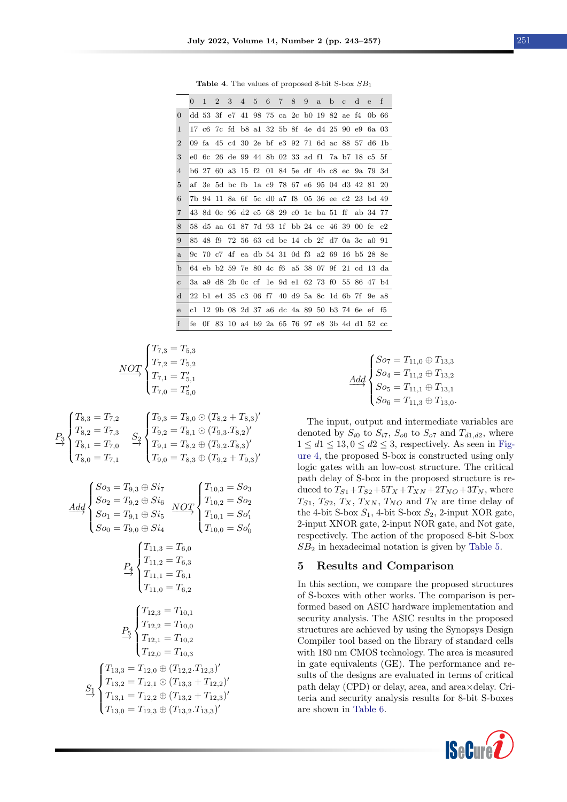Table 4. The values of proposed 8-bit S-box  $SB<sub>1</sub>$ 

<span id="page-8-1"></span>

|                | 0     | 1        | $\overline{2}$ | 3  | 4           | 5 | 6 | $\overline{7}$ | 8                                   | 9 | $\mathbf{a}$ | $\mathbf b$ | $\mathbf{C}$ | d | e                                               | $\mathbf{f}$ |
|----------------|-------|----------|----------------|----|-------------|---|---|----------------|-------------------------------------|---|--------------|-------------|--------------|---|-------------------------------------------------|--------------|
| $\theta$       |       | dd 53 3f |                | e7 | 41          |   |   |                | 98 75 ca 2c b0 19 82 ae f4          |   |              |             |              |   | -0b-66                                          |              |
| 1              |       |          |                |    |             |   |   |                |                                     |   |              |             |              |   | 17 c6 7c fd b8 a1 32 5b 8f 4e d4 25 90 e9 6a 03 |              |
| $\overline{2}$ | 09 fa |          |                |    | 45 c4 30 2e |   |   |                |                                     |   |              |             |              |   | bf e3 92 71 6d ac 88 57 d6 1b                   |              |
| 3              | eO    |          |                |    |             |   |   |                |                                     |   |              |             |              |   | 6c 26 de 99 44 8b 02 33 ad f1 7a b7 18 c5 5f    |              |
| 4              |       |          |                |    |             |   |   |                |                                     |   |              |             |              |   | b6 27 60 a3 15 f2 01 84 5e df 4b c8 ec 9a 79 3d |              |
| 5              | af    |          | 3e 5d bc fb    |    |             |   |   |                |                                     |   |              |             |              |   | la c9 78 67 e6 95 04 d3 42 81 20                |              |
| 6              |       |          |                |    |             |   |   |                |                                     |   |              |             |              |   | 7b 94 11 8a 6f 5c d0 a7 f8 05 36 ee c2 23 bd 49 |              |
| 7              |       |          |                |    |             |   |   |                |                                     |   |              |             |              |   | 43 8d 0e 96 d2 e5 68 29 c0 1c ba 51 ff ab 34 77 |              |
| 8              |       |          |                |    |             |   |   |                |                                     |   |              |             |              |   | 58 d5 aa 61 87 7d 93 1f bb 24 ce 46 39 00 fc e2 |              |
| 9              | 85    | 48 f9    |                |    |             |   |   |                |                                     |   |              |             |              |   | 72 56 63 ed be 14 cb 2f d7 0a 3c a0 91          |              |
| a              |       |          |                |    |             |   |   |                |                                     |   |              |             |              |   | 9c 70 c7 4f ea db 54 31 0d f3 a2 69 16 b5 28 8e |              |
| b              |       |          |                |    |             |   |   |                | 64 eb b2 59 7e 80 4c f6 a5 38 07 9f |   |              |             |              |   | 21 cd 13 da                                     |              |
| $\mathbf{C}$   |       |          |                |    |             |   |   |                |                                     |   |              |             |              |   | 3a a9 d8 2b 0c cf 1e 9d e1 62 73 f0 55 86 47 b4 |              |
| d              |       |          |                |    |             |   |   |                |                                     |   |              |             |              |   | 22 b1 e4 35 c3 06 f7 40 d9 5a 8c 1d 6b 7f 9e a8 |              |
| ${\bf e}$      | c1    |          |                |    |             |   |   |                |                                     |   |              |             |              |   | 12 9b 08 2d 37 a6 dc 4a 89 50 b3 74 6e ef f5    |              |
| f              | fe    | 0f.      | 83             |    |             |   |   |                |                                     |   |              |             |              |   | 10 a4 b9 2a 65 76 97 e8 3b 4d d1 52 cc          |              |

$$
\underbrace{NOT}_{XOT} \begin{cases} T_{7,3} = T_{5,3} \\ T_{7,2} = T_{5,2} \\ T_{7,1} = T'_{5,1} \\ T_{7,0} = T'_{5,0} \end{cases}
$$

$$
P_3 \begin{cases} T_{8,3} = T_{7,2} \\ T_{8,2} = T_{7,3} \\ T_{8,1} = T_{7,0} \end{cases} \xrightarrow{q} \begin{cases} T_{9,3} = T_{8,0} \odot (T_{8,2} + T_{8,3})' \\ T_{9,2} = T_{8,1} \odot (T_{9,3}.T_{8,2})' \\ T_{9,1} = T_{8,2} \oplus (T_{9,2}.T_{8,3})' \\ T_{9,0} = T_{8,3} \oplus (T_{9,2} + T_{9,3})' \end{cases}
$$

$$
\begin{aligned}\n\frac{Add}{SO_2} &= T_{9,3} \oplus Si_7 \\
\frac{Add}{SO_2} &= T_{9,2} \oplus Si_6 \\
\frac{So_1}{SO_1} &= T_{9,1} \oplus Si_5 \\
\frac{NoT}{SO_0} &= T_{9,0} \oplus Si_4\n\end{aligned}\n\begin{aligned}\n\frac{NOT}{T_{10,2}} &= So_2 \\
\frac{NOT}{T_{10,1}} &= So_0 \\
\frac{P_4}{T_{11,2}} &= T_{6,3} \\
\frac{TP_4}{T_{11,1}} &= T_{6,3} \\
\frac{TP_1}{T_{11,1}} &= T_{6,1} \\
\frac{TP_5}{T_{12,2}} &= T_{10,1} \\
\frac{TP_5}{T_{12,2}} &= T_{10,0} \\
\frac{TP_5}{T_{12,1}} &= T_{10,2} \\
\frac{TP_1}{T_{12,1}} &= T_{10,2} \\
\frac{TP_2}{T_{12,1}} &= T_{10,2} \\
\frac{TP_1}{T_{12,0}} &= T_{10,3} \\
\frac{TP_1}{T_{12,0}} &= T_{10,3} \\
\frac{TP_1}{T_{13,2}} &= T_{12,1} \odot (T_{13,3} + T_{12,2})' \\
\frac{TP_1}{T_{13,1}} &= T_{12,2} \oplus (T_{13,2} + T_{12,3})' \\
\frac{TP_1}{T_{13,1}} &= T_{12,2} \oplus (T_{13,2} + T_{12,3})' \\
\frac{TP_1}{T_{13,0}} &= T_{12,3} \oplus (T_{13,2} + T_{13,3})'\n\end{aligned}
$$

$$
\underline{4d}d \n\begin{cases}\nSo_7 = T_{11,0} \oplus T_{13,3} \\
So_4 = T_{11,2} \oplus T_{13,2} \\
So_5 = T_{11,1} \oplus T_{13,1} \\
So_6 = T_{11,3} \oplus T_{13,0}.\n\end{cases}
$$

 $\frac{4}{1}$ 

The input, output and intermediate variables are denoted by  $S_{i0}$  to  $S_{i7}$ ,  $S_{o0}$  to  $S_{o7}$  and  $T_{d1,d2}$ , where  $1 \le d$ 1  $\le$  13, 0  $\le d$ 2  $\le$  3, respectively. As seen in [Fig](#page-9-0)[ure 4,](#page-9-0) the proposed S-box is constructed using only logic gates with an low-cost structure. The critical path delay of S-box in the proposed structure is reduced to  $T_{S1}+T_{S2}+5T_X+T_{XN}+2T_{NO}+3T_N$ , where  $T_{S1}, T_{S2}, T_X, T_{XN}, T_{NO}$  and  $T_N$  are time delay of the 4-bit S-box  $S_1$ , 4-bit S-box  $S_2$ , 2-input XOR gate, 2-input XNOR gate, 2-input NOR gate, and Not gate, respectively. The action of the proposed 8-bit S-box  $SB<sub>2</sub>$  in hexadecimal notation is given by [Table 5.](#page-9-1)

#### <span id="page-8-0"></span>5 Results and Comparison

In this section, we compare the proposed structures of S-boxes with other works. The comparison is performed based on ASIC hardware implementation and security analysis. The ASIC results in the proposed structures are achieved by using the Synopsys Design Compiler tool based on the library of standard cells with 180 nm CMOS technology. The area is measured in gate equivalents (GE). The performance and results of the designs are evaluated in terms of critical path delay (CPD) or delay, area, and area×delay. Criteria and security analysis results for 8-bit S-boxes are shown in [Table 6.](#page-10-1)

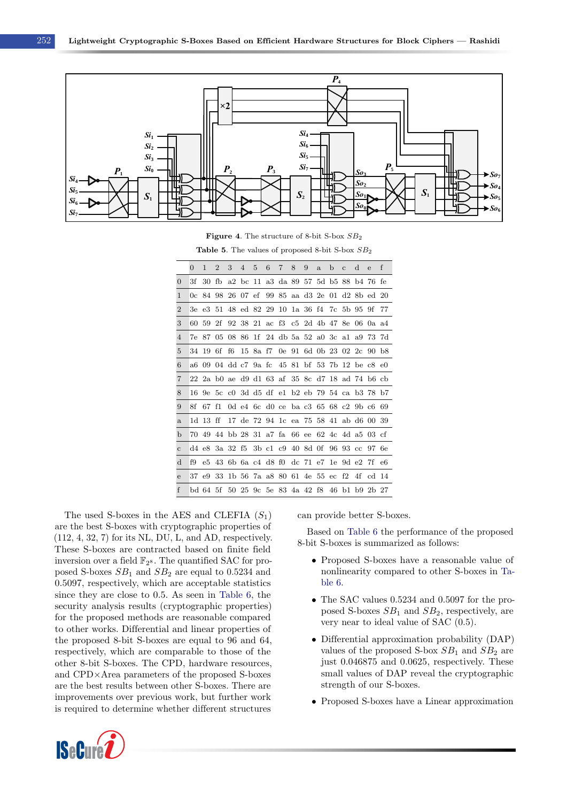<span id="page-9-0"></span>

Figure 4. The structure of 8-bit S-box SB<sup>2</sup>

Table 5. The values of proposed 8-bit S-box  $SB_2$ 

<span id="page-9-1"></span>

|                | $\Omega$ | 1        | $\overline{2}$ | 3  | 4 | 5 | 6 | 7 | 8 | 9 | $\mathbf{a}$                                    | b | $\mathcal{C}$ | d              | $\mathbf{e}$ | f   |
|----------------|----------|----------|----------------|----|---|---|---|---|---|---|-------------------------------------------------|---|---------------|----------------|--------------|-----|
| $\overline{0}$ | 3f       | 30       | fb             |    |   |   |   |   |   |   | a2 bc 11 a3 da 89 57 5d b5 88 b4 76 fe          |   |               |                |              |     |
| 1              |          |          |                |    |   |   |   |   |   |   | 0c 84 98 26 07 ef 99 85 aa d3 2e 01 d2 8b ed 20 |   |               |                |              |     |
| $\overline{2}$ |          |          |                |    |   |   |   |   |   |   | 3e e3 51 48 ed 82 29 10 1a 36 f4 7c 5b 95 9f    |   |               |                |              | -77 |
| 3              | 60       | 59       | 2f             |    |   |   |   |   |   |   | 92 38 21 ac f3 c5 2d 4b 47 8e 06 0a a4          |   |               |                |              |     |
| $\overline{4}$ |          |          |                |    |   |   |   |   |   |   | 7e 87 05 08 86 1f 24 db 5a 52 a0 3c a1 a9 73 7d |   |               |                |              |     |
| 5              |          | 34 19    | 6f             | f6 |   |   |   |   |   |   | 15 8a f7 0e 91 6d 0b 23 02 2c 90 b8             |   |               |                |              |     |
| 6              |          |          |                |    |   |   |   |   |   |   | a6 09 04 dd c7 9a fc 45 81 bf 53 7b 12 be c8 e0 |   |               |                |              |     |
| 7              |          |          |                |    |   |   |   |   |   |   | 22 2a b0 ae d9 d1 63 af 35 8c d7 18 ad 74 b6 cb |   |               |                |              |     |
| 8              |          |          |                |    |   |   |   |   |   |   | 16 9e 5c c0 3d d5 df e1 b2 eb 79 54 ca b3 78 b7 |   |               |                |              |     |
| 9              | 8f       | 67       | f1             |    |   |   |   |   |   |   | 0d e4 6c d0 ce ba c3 65 68 c2 9b c6 69          |   |               |                |              |     |
| a              |          | 1d 13 ff |                |    |   |   |   |   |   |   | 17 de 72 94 1c ea 75 58 41 ab d6 00 39          |   |               |                |              |     |
| b              |          | 7049     |                |    |   |   |   |   |   |   | 44 bb 28 31 a7 fa 66 ee 62 4c 4d a5 03 cf       |   |               |                |              |     |
| $\mathbf{C}$   |          |          |                |    |   |   |   |   |   |   | d4 e8 3a 32 f5 3b c1 c9 40 8d 0f 96 93 cc 97 6e |   |               |                |              |     |
| d              | f9       |          |                |    |   |   |   |   |   |   | e5 43 6b 6a c4 d8 f0 dc 71 e7 1e 9d e2 7f e6    |   |               |                |              |     |
| e              |          | 37 e9    | 33             |    |   |   |   |   |   |   | 1b 56 7a a 880 61 4e 55 ec f2 4f cd 14          |   |               |                |              |     |
| $\mathbf{f}$   |          | bd 64 5f |                |    |   |   |   |   |   |   | 50 25 9c 5e 83 4a 42 f8                         |   |               | 46 b1 b9 2b 27 |              |     |

The used S-boxes in the AES and CLEFIA  $(S_1)$ are the best S-boxes with cryptographic properties of (112, 4, 32, 7) for its NL, DU, L, and AD, respectively. These S-boxes are contracted based on finite field inversion over a field  $\mathbb{F}_{2^8}$ . The quantified SAC for proposed S-boxes  $SB_1$  and  $SB_2$  are equal to 0.5234 and 0.5097, respectively, which are acceptable statistics since they are close to 0.5. As seen in [Table 6,](#page-10-1) the security analysis results (cryptographic properties) for the proposed methods are reasonable compared to other works. Differential and linear properties of the proposed 8-bit S-boxes are equal to 96 and 64, respectively, which are comparable to those of the other 8-bit S-boxes. The CPD, hardware resources, and CPD×Area parameters of the proposed S-boxes are the best results between other S-boxes. There are improvements over previous work, but further work is required to determine whether different structures



can provide better S-boxes.

Based on [Table 6](#page-10-1) the performance of the proposed 8-bit S-boxes is summarized as follows:

- Proposed S-boxes have a reasonable value of nonlinearity compared to other S-boxes in [Ta](#page-10-1)[ble 6.](#page-10-1)
- The SAC values 0.5234 and 0.5097 for the proposed S-boxes  $SB_1$  and  $SB_2$ , respectively, are very near to ideal value of SAC (0.5).
- Differential approximation probability (DAP) values of the proposed S-box  $SB_1$  and  $SB_2$  are just 0.046875 and 0.0625, respectively. These small values of DAP reveal the cryptographic strength of our S-boxes.
- Proposed S-boxes have a Linear approximation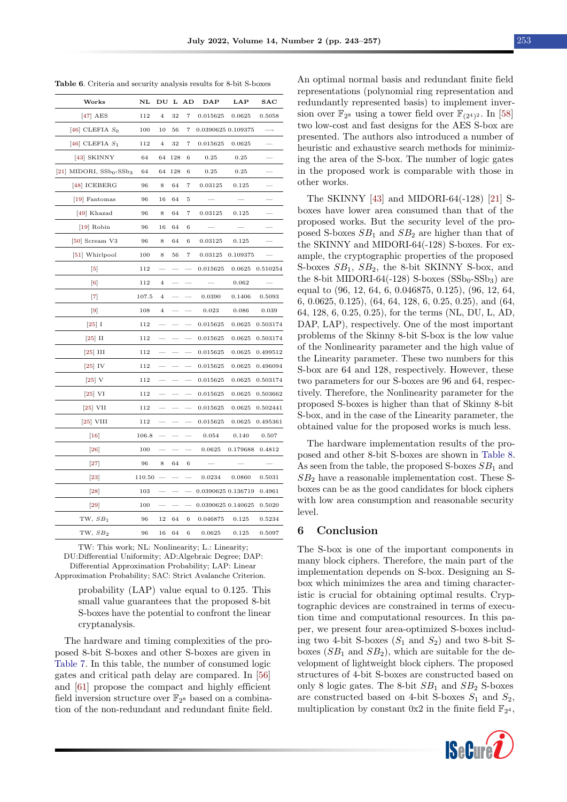<span id="page-10-1"></span>

|  |  |  | <b>Table 6.</b> Criteria and security analysis results for 8-bit S-boxes |  |
|--|--|--|--------------------------------------------------------------------------|--|
|  |  |  |                                                                          |  |

| Works                          | NL     |                |     | DU L AD                  | $\mathbf{DAP}$     | LAP      | $\bf SAC$ |
|--------------------------------|--------|----------------|-----|--------------------------|--------------------|----------|-----------|
| $[47]$ AES                     | 112    | $\overline{4}$ | 32  | 7                        | 0.015625           | 0.0625   | 0.5058    |
| [46] CLEFIA $S_0$              | 100    | 10             | 56  | 7                        | 0.0390625 0.109375 |          |           |
| [46] CLEFIA $S_1$              | 112    | $\overline{4}$ | 32  | $\overline{\phantom{a}}$ | 0.015625           | 0.0625   |           |
| [43] SKINNY                    | 64     | 64             | 128 | 6                        | 0.25               | 0.25     |           |
| [21] MIDORI, $SSb0$ - $SSb3$   | 64     | 64             | 128 | 6                        | 0.25               | 0.25     |           |
| $[48]$ ICEBERG                 | 96     | 8              | 64  | 7                        | 0.03125            | 0.125    |           |
| [19] Fantomas                  | 96     | 16             | 64  | 5                        |                    |          |           |
| [49] Khazad                    | 96     | 8              | 64  | 7                        | 0.03125            | 0.125    |           |
| $[19]$ Robin                   | 96     | 16             | 64  | 6                        |                    |          |           |
| [50] Scream V3                 | 96     | 8              | 64  | 6                        | 0.03125            | 0.125    |           |
| [51] Whirlpool                 | 100    | 8              | 56  | 7                        | 0.03125            | 0.109375 |           |
| $\lceil 5 \rceil$              | 112    |                |     |                          | 0.015625           | 0.0625   | 0.510254  |
| $\lceil 6 \rceil$              | 112    | $\overline{4}$ |     |                          |                    | 0.062    |           |
| $^{[7]}$                       | 107.5  | $\overline{4}$ |     |                          | 0.0390             | 0.1406   | 0.5093    |
| $\lceil 9 \rceil$              | 108    | $\overline{4}$ |     |                          | 0.023              | 0.086    | 0.039     |
| $\left\lceil 25\right\rceil$ I | 112    |                |     |                          | 0.015625           | 0.0625   | 0.503174  |
| $\left[25\right]$ II           | 112    |                |     |                          | 0.015625           | 0.0625   | 0.503174  |
| $\left[25\right]$ III          | 112    |                |     |                          | 0.015625           | 0.0625   | 0.499512  |
| $\left[25\right]$ IV           | 112    |                |     |                          | 0.015625           | 0.0625   | 0.496094  |
| $\left 25\right $ V            | 112    |                |     |                          | 0.015625           | 0.0625   | 0.503174  |
| $\left[25\right]$ VI           | 112    |                |     |                          | 0.015625           | 0.0625   | 0.503662  |
| $[25]$ VII                     | 112    |                |     |                          | 0.015625           | 0.0625   | 0.502441  |
| $[25]$ VIII                    | 112    |                |     |                          | 0.015625           | 0.0625   | 0.495361  |
| $\lceil 16 \rceil$             | 106.8  |                |     |                          | 0.054              | 0.140    | 0.507     |
| [26]                           | 100    |                |     |                          | 0.0625             | 0.179688 | 0.4812    |
| $[27]$                         | 96     | 8              | 64  | 6                        |                    |          |           |
| $[23]$                         | 110.50 |                |     |                          | 0.0234             | 0.0860   | 0.5031    |
| [28]                           | 103    |                |     |                          | 0.0390625 0.136719 |          | 0.4961    |
| $\left 29\right $              | 100    |                |     |                          | 0.0390625 0.140625 |          | 0.5020    |
| TW, SB <sub>1</sub>            | 96     | $12\,$         | 64  | 6                        | 0.046875           | 0.125    | 0.5234    |
| TW, $SB2$                      | 96     | 16             | 64  | 6                        | 0.0625             | 0.125    | 0.5097    |

TW: This work; NL: Nonlinearity; L.: Linearity; DU:Differential Uniformity; AD:Algebraic Degree; DAP: Differential Approximation Probability; LAP: Linear Approximation Probability; SAC: Strict Avalanche Criterion.

> probability (LAP) value equal to 0.125. This small value guarantees that the proposed 8-bit S-boxes have the potential to confront the linear cryptanalysis.

The hardware and timing complexities of the proposed 8-bit S-boxes and other S-boxes are given in [Table 7.](#page-11-8) In this table, the number of consumed logic gates and critical path delay are compared. In [\[56\]](#page-14-1) and [\[61\]](#page-14-2) propose the compact and highly efficient field inversion structure over  $\mathbb{F}_{2^8}$  based on a combination of the non-redundant and redundant finite field.

An optimal normal basis and redundant finite field representations (polynomial ring representation and redundantly represented basis) to implement inversion over  $\mathbb{F}_{2^8}$  using a tower field over  $\mathbb{F}_{(2^4)^2}$ . In [\[58\]](#page-14-3) two low-cost and fast designs for the AES S-box are presented. The authors also introduced a number of heuristic and exhaustive search methods for minimizing the area of the S-box. The number of logic gates in the proposed work is comparable with those in other works.

The SKINNY [\[43\]](#page-13-13) and MIDORI-64(-128) [\[21\]](#page-12-1) Sboxes have lower area consumed than that of the proposed works. But the security level of the proposed S-boxes  $SB<sub>1</sub>$  and  $SB<sub>2</sub>$  are higher than that of the SKINNY and MIDORI-64(-128) S-boxes. For example, the cryptographic properties of the proposed S-boxes  $SB_1$ ,  $SB_2$ , the 8-bit SKINNY S-box, and the 8-bit MIDORI-64(-128) S-boxes  $(SSb_0-SSb_3)$  are equal to (96, 12, 64, 6, 0.046875, 0.125), (96, 12, 64, 6, 0.0625, 0.125), (64, 64, 128, 6, 0.25, 0.25), and (64, 64, 128, 6, 0.25, 0.25), for the terms (NL, DU, L, AD, DAP, LAP), respectively. One of the most important problems of the Skinny 8-bit S-box is the low value of the Nonlinearity parameter and the high value of the Linearity parameter. These two numbers for this S-box are 64 and 128, respectively. However, these two parameters for our S-boxes are 96 and 64, respectively. Therefore, the Nonlinearity parameter for the proposed S-boxes is higher than that of Skinny 8-bit S-box, and in the case of the Linearity parameter, the obtained value for the proposed works is much less.

The hardware implementation results of the proposed and other 8-bit S-boxes are shown in [Table 8.](#page-12-14) As seen from the table, the proposed S-boxes  $SB<sub>1</sub>$  and  $SB<sub>2</sub>$  have a reasonable implementation cost. These Sboxes can be as the good candidates for block ciphers with low area consumption and reasonable security level.

#### <span id="page-10-0"></span>6 Conclusion

The S-box is one of the important components in many block ciphers. Therefore, the main part of the implementation depends on S-box. Designing an Sbox which minimizes the area and timing characteristic is crucial for obtaining optimal results. Cryptographic devices are constrained in terms of execution time and computational resources. In this paper, we present four area-optimized S-boxes including two 4-bit S-boxes  $(S_1 \text{ and } S_2)$  and two 8-bit Sboxes  $(SB_1 \text{ and } SB_2)$ , which are suitable for the development of lightweight block ciphers. The proposed structures of 4-bit S-boxes are constructed based on only 8 logic gates. The 8-bit  $SB_1$  and  $SB_2$  S-boxes are constructed based on 4-bit S-boxes  $S_1$  and  $S_2$ , multiplication by constant  $0x2$  in the finite field  $\mathbb{F}_{2^4}$ ,

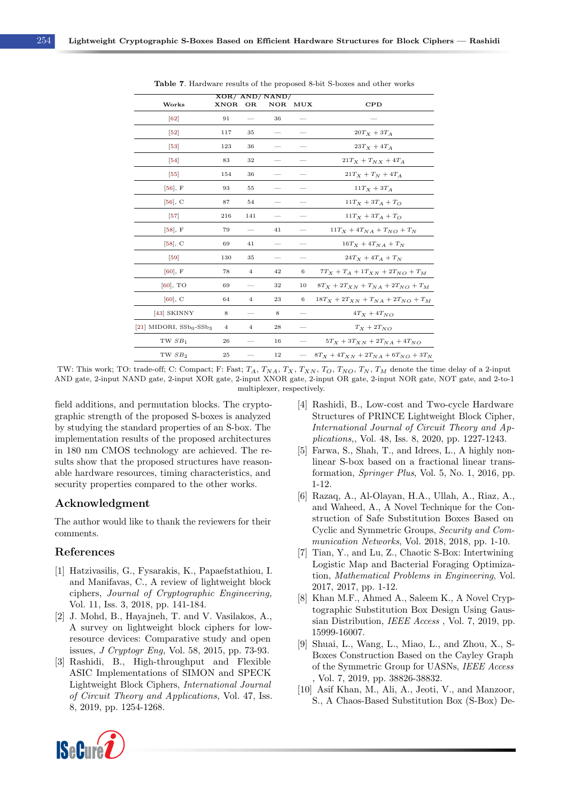<span id="page-11-8"></span>

| XOR/AND/NAND/  |                                |     |     |                                             |  |  |  |  |  |  |  |
|----------------|--------------------------------|-----|-----|---------------------------------------------|--|--|--|--|--|--|--|
| <b>XNOR</b>    | <b>OR</b>                      | NOR | MUX | CPD                                         |  |  |  |  |  |  |  |
| 91             |                                | 36  |     |                                             |  |  |  |  |  |  |  |
| 117            | 35                             |     |     | $20T_X + 3T_A$                              |  |  |  |  |  |  |  |
| 123            | 36                             |     |     | $23T_X + 4T_A$                              |  |  |  |  |  |  |  |
| 83             | 32                             |     |     | $21Tx + T_Nx + 4T_A$                        |  |  |  |  |  |  |  |
| 154            | 36                             |     |     | $21T_X + T_N + 4T_A$                        |  |  |  |  |  |  |  |
| 93             | 55                             |     |     | $11T_X + 3T_A$                              |  |  |  |  |  |  |  |
| 87             | 54                             |     |     | $11T_X + 3T_A + T_O$                        |  |  |  |  |  |  |  |
| 216            | 141                            |     |     | $11T_X + 3T_A + T_O$                        |  |  |  |  |  |  |  |
| 79             |                                | 41  |     | $11T_X + 4T_{NA} + T_{NO} + T_N$            |  |  |  |  |  |  |  |
| 69             | 41                             |     |     | $16T_X + 4T_{NA} + T_N$                     |  |  |  |  |  |  |  |
| 130            | 35                             |     |     | $24T_X + 4T_A + T_N$                        |  |  |  |  |  |  |  |
| 78             | $\overline{4}$                 | 42  | 6   | $7T_X + T_A + 1T_{XN} + 2T_{NO} + T_M$      |  |  |  |  |  |  |  |
| 69             |                                | 32  | 10  | $8T_X + 2T_{XN} + T_{NA} + 2T_{NO} + T_M$   |  |  |  |  |  |  |  |
| 64             | $\overline{4}$                 | 23  | 6   | $18T_X + 2T_{XN} + T_{NA} + 2T_{NO} + T_M$  |  |  |  |  |  |  |  |
| 8              |                                | 8   |     | $4T_X + 4T_{NO}$                            |  |  |  |  |  |  |  |
| $\overline{4}$ | 4                              | 28  |     | $T_X + 2T_{NO}$                             |  |  |  |  |  |  |  |
| 26             |                                | 16  |     | $5T_X + 3T_{XN} + 2T_{NA} + 4T_{NO}$        |  |  |  |  |  |  |  |
| 25             |                                | 12  |     | $8T_X + 4T_{XN} + 2T_{NA} + 6T_{NO} + 3T_N$ |  |  |  |  |  |  |  |
|                | [21] MIDORI, $SSb_0$ - $SSb_3$ |     |     |                                             |  |  |  |  |  |  |  |

Table 7. Hardware results of the proposed 8-bit S-boxes and other works

TW: This work; TO: trade-off; C: Compact; F: Fast;  $T_A$ ,  $T_{NA}$ ,  $T_X$ ,  $T_{XN}$ ,  $T_O$ ,  $T_{NO}$ ,  $T_N$ ,  $T_M$  denote the time delay of a 2-input AND gate, 2-input NAND gate, 2-input XOR gate, 2-input XNOR gate, 2-input OR gate, 2-input NOR gate, NOT gate, and 2-to-1 multiplexer, respectively.

field additions, and permutation blocks. The cryptographic strength of the proposed S-boxes is analyzed by studying the standard properties of an S-box. The implementation results of the proposed architectures in 180 nm CMOS technology are achieved. The results show that the proposed structures have reasonable hardware resources, timing characteristics, and security properties compared to the other works.

## Acknowledgment

The author would like to thank the reviewers for their comments.

#### References

- <span id="page-11-0"></span>[1] Hatzivasilis, G., Fysarakis, K., Papaefstathiou, I. and Manifavas, C., A review of lightweight block ciphers, Journal of Cryptographic Engineering, Vol. 11, Iss. 3, 2018, pp. 141-184.
- [2] J. Mohd, B., Hayajneh, T. and V. Vasilakos, A., A survey on lightweight block ciphers for lowresource devices: Comparative study and open issues, J Cryptogr Eng, Vol. 58, 2015, pp. 73-93.
- [3] Rashidi, B., High-throughput and Flexible ASIC Implementations of SIMON and SPECK Lightweight Block Ciphers, International Journal of Circuit Theory and Applications, Vol. 47, Iss. 8, 2019, pp. 1254-1268.
- <span id="page-11-1"></span>[4] Rashidi, B., Low-cost and Two-cycle Hardware Structures of PRINCE Lightweight Block Cipher, International Journal of Circuit Theory and Applications,, Vol. 48, Iss. 8, 2020, pp. 1227-1243.
- <span id="page-11-2"></span>[5] Farwa, S., Shah, T., and Idrees, L., A highly nonlinear S-box based on a fractional linear transformation, Springer Plus, Vol. 5, No. 1, 2016, pp. 1-12.
- <span id="page-11-3"></span>[6] Razaq, A., Al-Olayan, H.A., Ullah, A., Riaz, A., and Waheed, A., A Novel Technique for the Construction of Safe Substitution Boxes Based on Cyclic and Symmetric Groups, Security and Communication Networks, Vol. 2018, 2018, pp. 1-10.
- <span id="page-11-4"></span>[7] Tian, Y., and Lu, Z., Chaotic S-Box: Intertwining Logistic Map and Bacterial Foraging Optimization, Mathematical Problems in Engineering, Vol. 2017, 2017, pp. 1-12.
- <span id="page-11-5"></span>[8] Khan M.F., Ahmed A., Saleem K., A Novel Cryptographic Substitution Box Design Using Gaussian Distribution, IEEE Access , Vol. 7, 2019, pp. 15999-16007.
- <span id="page-11-7"></span>[9] Shuai, L., Wang, L., Miao, L., and Zhou, X., S-Boxes Construction Based on the Cayley Graph of the Symmetric Group for UASNs, IEEE Access , Vol. 7, 2019, pp. 38826-38832.
- <span id="page-11-6"></span>[10] Asif Khan, M., Ali, A., Jeoti, V., and Manzoor, S., A Chaos-Based Substitution Box (S-Box) De-

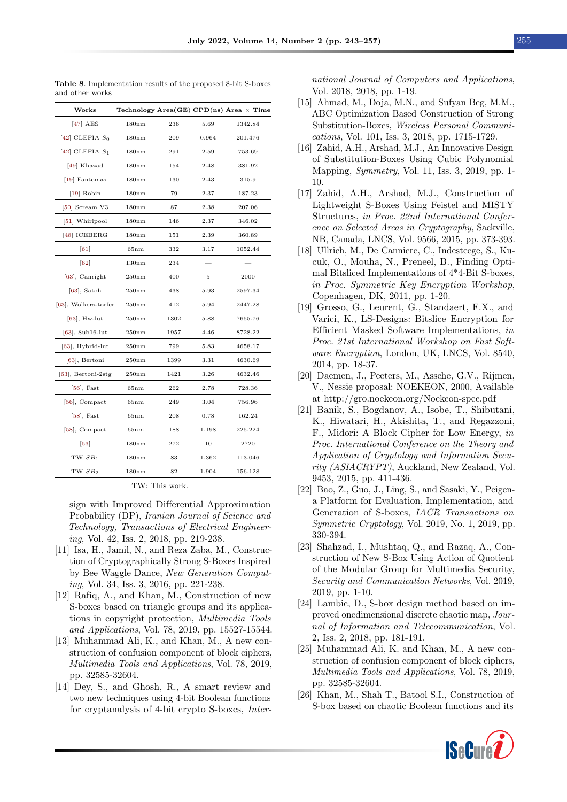| Works                    |                   |      |       | Technology Area(GE) CPD(ns) Area $\times$ Time |
|--------------------------|-------------------|------|-------|------------------------------------------------|
| $[47]$ AES               | 180nm             | 236  | 5.69  | 1342.84                                        |
| [42] CLEFIA $S_0$        | 180nm             | 209  | 0.964 | 201.476                                        |
| [42] CLEFIA $S_1$        | 180 <sub>nm</sub> | 291  | 2.59  | 753.69                                         |
| [49] Khazad              | 180 <sub>nm</sub> | 154  | 2.48  | 381.92                                         |
| [19] Fantomas            | 180 <sub>nm</sub> | 130  | 2.43  | 315.9                                          |
| $[19]$ Robin             | 180 <sub>nm</sub> | 79   | 2.37  | 187.23                                         |
| [50] Scream V3           | 180 <sub>nm</sub> | 87   | 2.38  | 207.06                                         |
| [51] Whirlpool           | 180 <sub>nm</sub> | 146  | 2.37  | 346.02                                         |
| $[48]$ ICEBERG           | 180 <sub>nm</sub> | 151  | 2.39  | 360.89                                         |
| $\lceil 61 \rceil$       | 65nm              | 332  | 3.17  | 1052.44                                        |
| $\lceil 62 \rceil$       | 130nm             | 234  |       |                                                |
| [63], Canright           | 250nm             | 400  | 5     | 2000                                           |
| $[63]$ , Satoh           | 250nm             | 438  | 5.93  | 2597.34                                        |
| [63], Wolkers-torfer     | 250nm             | 412  | 5.94  | 2447.28                                        |
| $[63]$ , Hw-lut          | 250nm             | 1302 | 5.88  | 7655.76                                        |
| $[63]$ , Sub16-lut       | 250nm             | 1957 | 4.46  | 8728.22                                        |
| $[63]$ , Hybrid-lut      | 250nm             | 799  | 5.83  | 4658.17                                        |
| $[63]$ , Bertoni         | 250nm             | 1399 | 3.31  | 4630.69                                        |
| $[63]$ , Bertoni- $2stg$ | 250nm             | 1421 | 3.26  | 4632.46                                        |
| $[56]$ , Fast            | 65nm              | 262  | 2.78  | 728.36                                         |
| $[56]$ , Compact         | 65nm              | 249  | 3.04  | 756.96                                         |
| $[58]$ , Fast            | 65nm              | 208  | 0.78  | 162.24                                         |
| $[58]$ , Compact         | 65nm              | 188  | 1.198 | 225.224                                        |
| $\left[53\right]$        | 180 <sub>nm</sub> | 272  | 10    | 2720                                           |
| TW $SB1$                 | 180 <sub>nm</sub> | 83   | 1.362 | 113.046                                        |
| TW $SB_2$                | 180 <sub>nm</sub> | 82   | 1.904 | 156.128                                        |
|                          |                   |      |       |                                                |

<span id="page-12-14"></span>Table 8. Implementation results of the proposed 8-bit S-boxes and other works

TW: This work.

sign with Improved Differential Approximation Probability (DP), Iranian Journal of Science and Technology, Transactions of Electrical Engineering, Vol. 42, Iss. 2, 2018, pp. 219-238.

- <span id="page-12-2"></span>[11] Isa, H., Jamil, N., and Reza Zaba, M., Construction of Cryptographically Strong S-Boxes Inspired by Bee Waggle Dance, New Generation Computing, Vol. 34, Iss. 3, 2016, pp. 221-238.
- <span id="page-12-3"></span>[12] Rafiq, A., and Khan, M., Construction of new S-boxes based on triangle groups and its applications in copyright protection, Multimedia Tools and Applications, Vol. 78, 2019, pp. 15527-15544.
- <span id="page-12-12"></span>[13] Muhammad Ali, K., and Khan, M., A new construction of confusion component of block ciphers, Multimedia Tools and Applications, Vol. 78, 2019, pp. 32585-32604.
- [14] Dey, S., and Ghosh, R., A smart review and two new techniques using 4-bit Boolean functions for cryptanalysis of 4-bit crypto S-boxes, Inter-

national Journal of Computers and Applications, Vol. 2018, 2018, pp. 1-19.

- <span id="page-12-4"></span>[15] Ahmad, M., Doja, M.N., and Sufyan Beg, M.M., ABC Optimization Based Construction of Strong Substitution-Boxes, Wireless Personal Communications, Vol. 101, Iss. 3, 2018, pp. 1715-1729.
- <span id="page-12-5"></span>[16] Zahid, A.H., Arshad, M.J., An Innovative Design of Substitution-Boxes Using Cubic Polynomial Mapping, Symmetry, Vol. 11, Iss. 3, 2019, pp. 1- 10.
- <span id="page-12-6"></span>[17] Zahid, A.H., Arshad, M.J., Construction of Lightweight S-Boxes Using Feistel and MISTY Structures, in Proc. 22nd International Conference on Selected Areas in Cryptography, Sackville, NB, Canada, LNCS, Vol. 9566, 2015, pp. 373-393.
- <span id="page-12-7"></span>[18] Ullrich, M., De Canniere, C., Indesteege, S., Kucuk, O., Mouha, N., Preneel, B., Finding Optimal Bitsliced Implementations of 4\*4-Bit S-boxes, in Proc. Symmetric Key Encryption Workshop, Copenhagen, DK, 2011, pp. 1-20.
- <span id="page-12-8"></span>[19] Grosso, G., Leurent, G., Standaert, F.X., and Varici, K., LS-Designs: Bitslice Encryption for Efficient Masked Software Implementations, in Proc. 21st International Workshop on Fast Software Encryption, London, UK, LNCS, Vol. 8540, 2014, pp. 18-37.
- <span id="page-12-9"></span>[20] Daemen, J., Peeters, M., Assche, G.V., Rijmen, V., Nessie proposal: NOEKEON, 2000, Available at http://gro.noekeon.org/Noekeon-spec.pdf
- <span id="page-12-1"></span>[21] Banik, S., Bogdanov, A., Isobe, T., Shibutani, K., Hiwatari, H., Akishita, T., and Regazzoni, F., Midori: A Block Cipher for Low Energy, in Proc. International Conference on the Theory and Application of Cryptology and Information Security (ASIACRYPT), Auckland, New Zealand, Vol. 9453, 2015, pp. 411-436.
- <span id="page-12-0"></span>[22] Bao, Z., Guo, J., Ling, S., and Sasaki, Y., Peigena Platform for Evaluation, Implementation, and Generation of S-boxes, IACR Transactions on Symmetric Cryptology, Vol. 2019, No. 1, 2019, pp. 330-394.
- <span id="page-12-10"></span>[23] Shahzad, I., Mushtaq, Q., and Razaq, A., Construction of New S-Box Using Action of Quotient of the Modular Group for Multimedia Security, Security and Communication Networks, Vol. 2019, 2019, pp. 1-10.
- <span id="page-12-11"></span>[24] Lambic, D., S-box design method based on improved onedimensional discrete chaotic map, Journal of Information and Telecommunication, Vol. 2, Iss. 2, 2018, pp. 181-191.
- [25] Muhammad Ali, K. and Khan, M., A new construction of confusion component of block ciphers, Multimedia Tools and Applications, Vol. 78, 2019, pp. 32585-32604.
- <span id="page-12-13"></span>[26] Khan, M., Shah T., Batool S.I., Construction of S-box based on chaotic Boolean functions and its

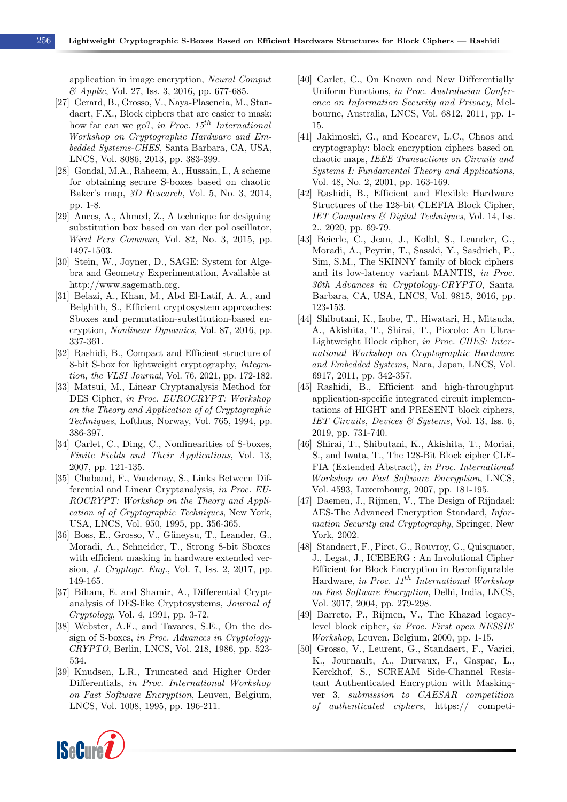application in image encryption, Neural Comput & Applic, Vol. 27, Iss. 3, 2016, pp. 677-685.

- <span id="page-13-22"></span>[27] Gerard, B., Grosso, V., Naya-Plasencia, M., Standaert, F.X., Block ciphers that are easier to mask: how far can we go?, in Proc.  $15^{th}$  International Workshop on Cryptographic Hardware and Embedded Systems-CHES, Santa Barbara, CA, USA, LNCS, Vol. 8086, 2013, pp. 383-399.
- <span id="page-13-23"></span>[28] Gondal, M.A., Raheem, A., Hussain, I., A scheme for obtaining secure S-boxes based on chaotic Baker's map, 3D Research, Vol. 5, No. 3, 2014, pp. 1-8.
- <span id="page-13-1"></span>[29] Anees, A., Ahmed, Z., A technique for designing substitution box based on van der pol oscillator, Wirel Pers Commun, Vol. 82, No. 3, 2015, pp. 1497-1503.
- <span id="page-13-0"></span>[30] Stein, W., Joyner, D., SAGE: System for Algebra and Geometry Experimentation, Available at http://www.sagemath.org.
- <span id="page-13-2"></span>[31] Belazi, A., Khan, M., Abd El-Latif, A. A., and Belghith, S., Efficient cryptosystem approaches: Sboxes and permutation-substitution-based encryption, Nonlinear Dynamics, Vol. 87, 2016, pp. 337-361.
- <span id="page-13-3"></span>[32] Rashidi, B., Compact and Efficient structure of 8-bit S-box for lightweight cryptography, Integration, the VLSI Journal, Vol. 76, 2021, pp. 172-182.
- <span id="page-13-4"></span>[33] Matsui, M., Linear Cryptanalysis Method for DES Cipher, in Proc. EUROCRYPT: Workshop on the Theory and Application of of Cryptographic Techniques, Lofthus, Norway, Vol. 765, 1994, pp. 386-397.
- <span id="page-13-5"></span>[34] Carlet, C., Ding, C., Nonlinearities of S-boxes, Finite Fields and Their Applications, Vol. 13, 2007, pp. 121-135.
- <span id="page-13-6"></span>[35] Chabaud, F., Vaudenay, S., Links Between Differential and Linear Cryptanalysis, in Proc. EU-ROCRYPT: Workshop on the Theory and Application of of Cryptographic Techniques, New York, USA, LNCS, Vol. 950, 1995, pp. 356-365.
- <span id="page-13-7"></span>[36] Boss, E., Grosso, V., Güneysu, T., Leander, G., Moradi, A., Schneider, T., Strong 8-bit Sboxes with efficient masking in hardware extended version, J. Cryptogr. Eng., Vol. 7, Iss. 2, 2017, pp. 149-165.
- <span id="page-13-8"></span>[37] Biham, E. and Shamir, A., Differential Cryptanalysis of DES-like Cryptosystems, Journal of Cryptology, Vol. 4, 1991, pp. 3-72.
- <span id="page-13-9"></span>[38] Webster, A.F., and Tavares, S.E., On the design of S-boxes, in Proc. Advances in Cryptology-CRYPTO, Berlin, LNCS, Vol. 218, 1986, pp. 523- 534.
- <span id="page-13-10"></span>[39] Knudsen, L.R., Truncated and Higher Order Differentials, in Proc. International Workshop on Fast Software Encryption, Leuven, Belgium, LNCS, Vol. 1008, 1995, pp. 196-211.
- <span id="page-13-11"></span>[40] Carlet, C., On Known and New Differentially Uniform Functions, in Proc. Australasian Conference on Information Security and Privacy, Melbourne, Australia, LNCS, Vol. 6812, 2011, pp. 1- 15.
- <span id="page-13-12"></span>[41] Jakimoski, G., and Kocarev, L.C., Chaos and cryptography: block encryption ciphers based on chaotic maps, IEEE Transactions on Circuits and Systems I: Fundamental Theory and Applications, Vol. 48, No. 2, 2001, pp. 163-169.
- <span id="page-13-15"></span>[42] Rashidi, B., Efficient and Flexible Hardware Structures of the 128-bit CLEFIA Block Cipher, IET Computers & Digital Techniques, Vol. 14, Iss. 2., 2020, pp. 69-79.
- <span id="page-13-13"></span>[43] Beierle, C., Jean, J., Kolbl, S., Leander, G., Moradi, A., Peyrin, T., Sasaki, Y., Sasdrich, P., Sim, S.M., The SKINNY family of block ciphers and its low-latency variant MANTIS, in Proc. 36th Advances in Cryptology-CRYPTO, Santa Barbara, CA, USA, LNCS, Vol. 9815, 2016, pp. 123-153.
- <span id="page-13-14"></span>[44] Shibutani, K., Isobe, T., Hiwatari, H., Mitsuda, A., Akishita, T., Shirai, T., Piccolo: An Ultra-Lightweight Block cipher, in Proc. CHES: International Workshop on Cryptographic Hardware and Embedded Systems, Nara, Japan, LNCS, Vol. 6917, 2011, pp. 342-357.
- <span id="page-13-16"></span>[45] Rashidi, B., Efficient and high-throughput application-specific integrated circuit implementations of HIGHT and PRESENT block ciphers, IET Circuits, Devices & Systems, Vol. 13, Iss. 6, 2019, pp. 731-740.
- <span id="page-13-17"></span>[46] Shirai, T., Shibutani, K., Akishita, T., Moriai, S., and Iwata, T., The 128-Bit Block cipher CLE-FIA (Extended Abstract), in Proc. International Workshop on Fast Software Encryption, LNCS, Vol. 4593, Luxembourg, 2007, pp. 181-195.
- <span id="page-13-18"></span>[47] Daemen, J., Rijmen, V., The Design of Rijndael: AES-The Advanced Encryption Standard, Information Security and Cryptography, Springer, New York, 2002.
- <span id="page-13-19"></span>[48] Standaert, F., Piret, G., Rouvroy, G., Quisquater, J., Legat, J., ICEBERG : An Involutional Cipher Efficient for Block Encryption in Reconfigurable Hardware, in Proc.  $11^{th}$  International Workshop on Fast Software Encryption, Delhi, India, LNCS, Vol. 3017, 2004, pp. 279-298.
- <span id="page-13-20"></span>[49] Barreto, P., Rijmen, V., The Khazad legacylevel block cipher, in Proc. First open NESSIE Workshop, Leuven, Belgium, 2000, pp. 1-15.
- <span id="page-13-21"></span>[50] Grosso, V., Leurent, G., Standaert, F., Varici, K., Journault, A., Durvaux, F., Gaspar, L., Kerckhof, S., SCREAM Side-Channel Resistant Authenticated Encryption with Maskingver 3, submission to CAESAR competition of authenticated ciphers, https:// competi-